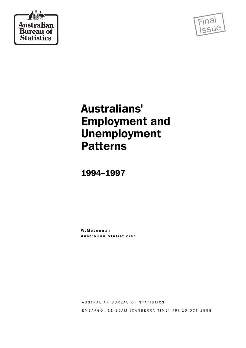



# Australians' Employment and Unemployment Patterns

1994–1997

W.McLennan Australian Statistician

AUSTRALIAN BUREAU OF STATISTICS E M B A R G O : 11:30 A M ( C A N B E R R A T I M E ) F R I 16 O C T 1998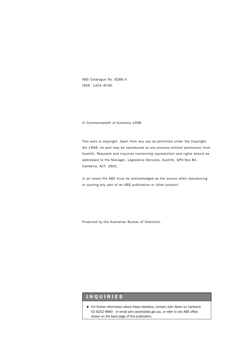ABS Catalogue No. 6286.0 ISSN 1324–8790

© Commonwealth of Australia 1998

This work is copyright. Apart from any use as permitted under the *Copyright Act 1968*, no part may be reproduced by any process without permission from AusInfo. Requests and inquiries concerning reproduction and rights should be addressed to the Manager, Legislative Services, AusInfo, GPO Box 84, Canberra, ACT, 2601.

In all cases the ABS must be acknowledged as the source when reproducing or quoting any part of an ABS publication or other product.

Produced by the Australian Bureau of Statistics.

### I N Q U I R I E S

For further information about these statistics, contact John Sever on Canberra 02 6252 6660 or email john.sever@abs.gov.au, or refer to any ABS office shown on the back page of this publication.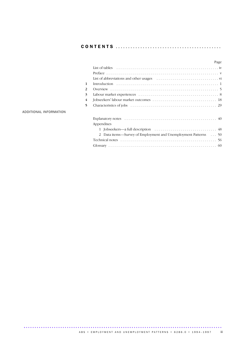|--|--|--|--|--|--|

|                          | Page                                                           |
|--------------------------|----------------------------------------------------------------|
|                          |                                                                |
|                          |                                                                |
|                          |                                                                |
| 1                        |                                                                |
| 2                        |                                                                |
| 3                        |                                                                |
| $\overline{4}$           |                                                                |
| $\overline{\phantom{0}}$ |                                                                |
|                          |                                                                |
|                          |                                                                |
|                          | Appendixes                                                     |
|                          |                                                                |
|                          | 2 Data items—Survey of Employment and Unemployment Patterns 50 |
|                          |                                                                |
|                          |                                                                |

### ADDITIONAL INFORMATION

ABS • EMPLOYMENT AND UNEMPLOYMENT PATTERNS • 6286.0 • 1994-1997 iii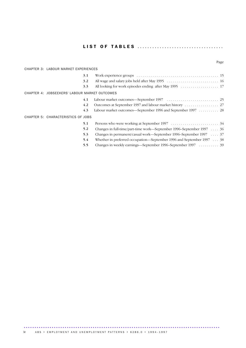|--|--|--|

### Page

| <b>CHAPTER 3: LABOUR MARKET EXPERIENCES</b>   |                                                                               |  |  |  |
|-----------------------------------------------|-------------------------------------------------------------------------------|--|--|--|
| 3.1                                           |                                                                               |  |  |  |
| 3.2                                           |                                                                               |  |  |  |
| 3.3                                           |                                                                               |  |  |  |
| CHAPTER 4: JOBSEEKERS' LABOUR MARKET OUTCOMES |                                                                               |  |  |  |
| 4.1                                           |                                                                               |  |  |  |
| 4.2                                           |                                                                               |  |  |  |
| 4.3                                           | Labour market outcomes—September 1996 and September 1997 28                   |  |  |  |
| CHAPTER 5: CHARACTERISTICS OF JOBS            |                                                                               |  |  |  |
| 5.1                                           |                                                                               |  |  |  |
| 5.2                                           | Changes in full-time/part-time work—September 1996–September 1997 $\ldots$ 36 |  |  |  |
| 5.3                                           | Changes in permanent/casual work—September 1996–September 1997 $\ldots$ 37    |  |  |  |
| 5.4                                           | Whether in preferred occupation—September 1996 and September 1997 $\ldots$ 38 |  |  |  |
| 5.5                                           | Changes in weekly earnings—September 1996–September 1997 39                   |  |  |  |

........................................................................................... A B S • E M P L O Y M E N T A N D U N E M P L O Y M E N T P A T T E R N S • 628 6.0 • 1994-1997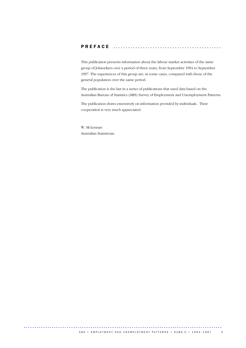### P R E F A C E ............................................

This publication presents information about the labour market activities of the same group of Jobseekers over a period of three years, from September 1994 to September 1997. The experiences of this group are, in some cases, compared with those of the general population over the same period.

The publication is the last in a series of publications that used data based on the Australian Bureau of Statistics (ABS) Survey of Employment and Unemployment Patterns.

The publication draws extensively on information provided by individuals. Their cooperation is very much appreciated.

W. McLennan Australian Statistician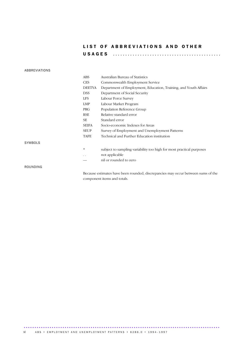### LIST OF ABBREVIATIONS AND OTHER U S A G E S ............................................

### ABBREVIATIONS

|                 | <b>ABS</b>    | Australian Bureau of Statistics                                                  |
|-----------------|---------------|----------------------------------------------------------------------------------|
|                 | <b>CES</b>    | Commonwealth Employment Service                                                  |
|                 | <b>DEETYA</b> | Department of Employment, Education, Training, and Youth Affairs                 |
|                 | <b>DSS</b>    | Department of Social Security                                                    |
|                 | <b>LFS</b>    | Labour Force Survey                                                              |
|                 | LMP           | Labour Market Program                                                            |
|                 | <b>PRG</b>    | Population Reference Group                                                       |
|                 | <b>RSE</b>    | Relative standard error                                                          |
|                 | <b>SE</b>     | Standard error                                                                   |
|                 | <b>SEIFA</b>  | Socio-economic Indexes for Areas                                                 |
|                 | <b>SEUP</b>   | Survey of Employment and Unemployment Patterns                                   |
|                 | <b>TAFE</b>   | Technical and Further Education institution                                      |
| <b>SYMBOLS</b>  |               |                                                                                  |
|                 | $\frac{1}{2}$ | subject to sampling variability too high for most practical purposes             |
|                 | . .           | not applicable                                                                   |
|                 |               | nil or rounded to zero                                                           |
| <b>ROUNDING</b> |               |                                                                                  |
|                 |               | Because estimates have been rounded, discrepancies may occur between sums of the |
|                 |               |                                                                                  |

component items and totals.

vi ABS • EM PLOYMENT AND UNEMPLOYMENT PATTERNS • 6286.0 • 1994-1997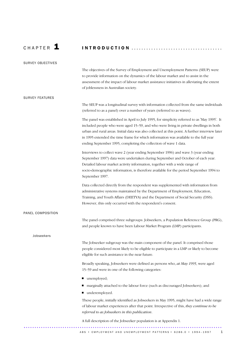# C H A P T E R 1 I N T R O D U C T I O N .....................................

| <b>SURVEY OBJECTIVES</b> |                                                                                                                                                                                                                                                                                                                                                                                                                                                       |
|--------------------------|-------------------------------------------------------------------------------------------------------------------------------------------------------------------------------------------------------------------------------------------------------------------------------------------------------------------------------------------------------------------------------------------------------------------------------------------------------|
|                          | The objectives of the Survey of Employment and Unemployment Patterns (SEUP) were<br>to provide information on the dynamics of the labour market and to assist in the<br>assessment of the impact of labour market assistance initiatives in alleviating the extent<br>of joblessness in Australian society.                                                                                                                                           |
| <b>SURVEY FEATURES</b>   |                                                                                                                                                                                                                                                                                                                                                                                                                                                       |
|                          | The SEUP was a longitudinal survey with information collected from the same individuals<br>(referred to as a panel) over a number of years (referred to as waves).                                                                                                                                                                                                                                                                                    |
|                          | The panel was established in April to July 1995, for simplicity referred to as 'May 1995'. It<br>included people who were aged 15-59, and who were living in private dwellings in both<br>urban and rural areas. Initial data was also collected at this point. A further interview later<br>in 1995 extended the time frame for which information was available to the full year<br>ending September 1995, completing the collection of wave 1 data. |
|                          | Interviews to collect wave 2 (year ending September 1996) and wave 3 (year ending<br>September 1997) data were undertaken during September and October of each year.<br>Detailed labour market activity information, together with a wide range of<br>socio-demographic information, is therefore available for the period September 1994 to<br>September 1997.                                                                                       |
|                          | Data collected directly from the respondent was supplemented with information from<br>administrative systems maintained by the Department of Employment, Education,<br>Training, and Youth Affairs (DEETYA) and the Department of Social Security (DSS).<br>However, this only occurred with the respondent's consent.                                                                                                                                |
| PANEL COMPOSITION        |                                                                                                                                                                                                                                                                                                                                                                                                                                                       |
|                          | The panel comprised three subgroups: Jobseekers, a Population Reference Group (PRG),<br>and people known to have been Labour Market Program (LMP) participants.                                                                                                                                                                                                                                                                                       |
| Jobseekers               |                                                                                                                                                                                                                                                                                                                                                                                                                                                       |
|                          | The Jobseeker subgroup was the main component of the panel. It comprised those<br>people considered most likely to be eligible to participate in a LMP or likely to become<br>eligible for such assistance in the near future.                                                                                                                                                                                                                        |
|                          | Broadly speaking, Jobseekers were defined as persons who, at May 1995, were aged<br>15-59 and were in one of the following categories:                                                                                                                                                                                                                                                                                                                |
|                          | unemployed;                                                                                                                                                                                                                                                                                                                                                                                                                                           |
|                          | marginally attached to the labour force (such as discouraged Jobseekers); and<br>underemployed.                                                                                                                                                                                                                                                                                                                                                       |
|                          | These people, initially identified as Jobseekers in May 1995, might have had a wide range<br>of labour market experiences after that point. Irrespective of this, they continue to be<br>referred to as Jobseekers in this publication.                                                                                                                                                                                                               |
|                          | A full description of the Jobseeker population is at Appendix 1.                                                                                                                                                                                                                                                                                                                                                                                      |
|                          | ABS • EMPLOYMENT AND UNEMPLOYMENT PATTERNS • 6286.0 • 1994-1997                                                                                                                                                                                                                                                                                                                                                                                       |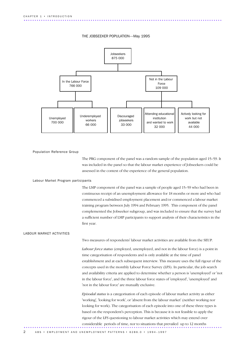



### Population Reference Group

The PRG component of the panel was a random sample of the population aged 15–59. It was included in the panel so that the labour market experience of Jobseekers could be assessed in the context of the experience of the general population.

### Labour Market Program participants

The LMP component of the panel was a sample of people aged 15–59 who had been in continuous receipt of an unemployment allowance for 18 months or more and who had commenced a subsidised employment placement and/or commenced a labour market training program between July 1994 and February 1995. This component of the panel complemented the Jobseeker subgroup, and was included to ensure that the survey had a sufficient number of LMP participants to support analysis of their characteristics in the first year.

### LABOUR MARKET ACTIVITIES

Two measures of respondents' labour market activities are available from the SEUP.

*Labour force status* (employed, unemployed, and not in the labour force) is a point in time categorisation of respondents and is only available at the time of panel establishment and at each subsequent interview. This measure uses the full rigour of the concepts used in the monthly Labour Force Survey (LFS). In particular, the job search and availability criteria are applied to determine whether a person is 'unemployed' or 'not in the labour force', and the three labour force states of 'employed', 'unemployed' and 'not in the labour force' are mutually exclusive.

*Episodal status* is a categorisation of each episode of labour market activity as either 'working', 'looking for work', or 'absent from the labour market' (neither working nor looking for work). The categorisation of each episode into one of these three types is based on the respondent's perception. This is because it is not feasible to apply the rigour of the LFS questioning to labour market activities which may extend over considerable periods of time, nor to situations that prevailed up to 12 months ............................................................................................ .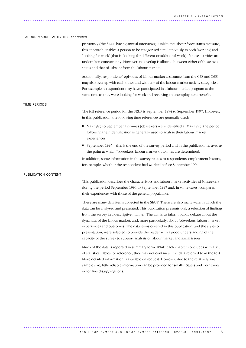### LABOUR MARKET ACTIVITIES *continued*

|                     | previously (the SEUP having annual interviews). Unlike the labour force status measure,<br>this approach enables a person to be categorised simultaneously as both 'working' and<br>'looking for work' (that is, looking for different or additional work) if these activities are<br>undertaken concurrently. However, no overlap is allowed between either of these two<br>states and that of 'absent from the labour market'.                                                                                                                                                                                                           |
|---------------------|--------------------------------------------------------------------------------------------------------------------------------------------------------------------------------------------------------------------------------------------------------------------------------------------------------------------------------------------------------------------------------------------------------------------------------------------------------------------------------------------------------------------------------------------------------------------------------------------------------------------------------------------|
|                     | Additionally, respondents' episodes of labour market assistance from the CES and DSS<br>may also overlap with each other and with any of the labour market activity categories.<br>For example, a respondent may have participated in a labour market program at the<br>same time as they were looking for work and receiving an unemployment benefit.                                                                                                                                                                                                                                                                                     |
| <b>TIME PERIODS</b> |                                                                                                                                                                                                                                                                                                                                                                                                                                                                                                                                                                                                                                            |
|                     | The full reference period for the SEUP is September 1994 to September 1997. However,<br>in this publication, the following time references are generally used:                                                                                                                                                                                                                                                                                                                                                                                                                                                                             |
|                     | May 1995 to September 1997—as Jobseekers were identified at May 1995, the period<br>following their identification is generally used to analyse their labour market<br>experiences;                                                                                                                                                                                                                                                                                                                                                                                                                                                        |
|                     | September 1997—this is the end of the survey period and in the publication is used as<br>the point at which Jobseekers' labour market outcomes are determined.                                                                                                                                                                                                                                                                                                                                                                                                                                                                             |
|                     | In addition, some information in the survey relates to respondents' employment history,<br>for example, whether the respondent had worked before September 1994.                                                                                                                                                                                                                                                                                                                                                                                                                                                                           |
| PUBLICATION CONTENT |                                                                                                                                                                                                                                                                                                                                                                                                                                                                                                                                                                                                                                            |
|                     | This publication describes the characteristics and labour market activities of Jobseekers<br>during the period September 1994 to September 1997 and, in some cases, compares<br>their experiences with those of the general population.                                                                                                                                                                                                                                                                                                                                                                                                    |
|                     | There are many data items collected in the SEUP. There are also many ways in which the<br>data can be analysed and presented. This publication presents only a selection of findings<br>from the survey in a descriptive manner. The aim is to inform public debate about the<br>dynamics of the labour market, and, more particularly, about Jobseekers' labour market<br>experiences and outcomes. The data items covered in this publication, and the styles of<br>presentation, were selected to provide the reader with a good understanding of the<br>capacity of the survey to support analysis of labour market and social issues. |
|                     | Much of the data is reported in summary form. While each chapter concludes with a set<br>of statistical tables for reference, they may not contain all the data referred to in the text.<br>More detailed information is available on request. However, due to the relatively small<br>sample size, little reliable information can be provided for smaller States and Territories<br>or for fine disaggregations.                                                                                                                                                                                                                         |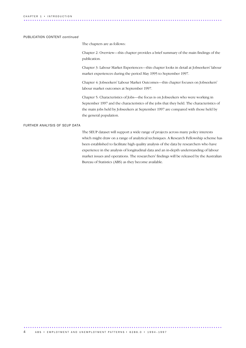### PUBLICATION CONTENT *continued*

The chapters are as follows:

Chapter 2: Overview—this chapter provides a brief summary of the main findings of the publication.

Chapter 3: Labour Market Experiences—this chapter looks in detail at Jobseekers' labour market experiences during the period May 1995 to September 1997.

Chapter 4: Jobseekers' Labour Market Outcomes—this chapter focuses on Jobseekers' labour market outcomes at September 1997.

Chapter 5: Characteristics of Jobs—the focus is on Jobseekers who were working in September 1997 and the characteristics of the jobs that they held. The characteristics of the main jobs held by Jobseekers at September 1997 are compared with those held by the general population.

### FURTHER ANALYSIS OF SEUP DATA

The SEUP dataset will support a wide range of projects across many policy interests which might draw on a range of analytical techniques. A Research Fellowship scheme has been established to facilitate high quality analysis of the data by researchers who have experience in the analysis of longitudinal data and an in-depth understanding of labour market issues and operations. The researchers' findings will be released by the Australian Bureau of Statistics (ABS) as they become available.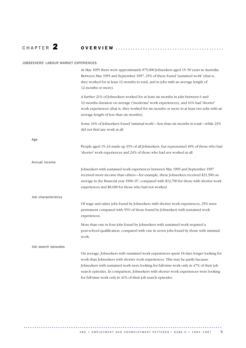C H A P T E R 2 O V E R V I E W ............................................

### JOBSEEKERS' LABOUR MARKET EXPERIENCES

|                     | At May 1995 there were approximately 875,000 Jobseekers aged 15-59 years in Australia.<br>Between May 1995 and September 1997, 25% of these found 'sustained work' (that is,<br>they worked for at least 12 months in total, and in jobs with an average length of<br>12 months or more).                                                                                                                                     |
|---------------------|-------------------------------------------------------------------------------------------------------------------------------------------------------------------------------------------------------------------------------------------------------------------------------------------------------------------------------------------------------------------------------------------------------------------------------|
|                     | A further 21% of Jobseekers worked for at least six months in jobs between 6 and<br>12 months duration on average ('moderate' work experiences), and 16% had 'shorter'<br>work experiences (that is, they worked for six months or more in at least two jobs with an<br>average length of less than six months).                                                                                                              |
|                     | Some 16% of Jobseekers found 'minimal work'—less than six months in total—while 23%<br>did not find any work at all.                                                                                                                                                                                                                                                                                                          |
| Age                 | People aged 15–24 made up 35% of all Jobseekers, but represented 49% of those who had<br>'shorter' work experiences and 24% of those who had not worked at all.                                                                                                                                                                                                                                                               |
| Annual income       |                                                                                                                                                                                                                                                                                                                                                                                                                               |
|                     | Jobseekers with sustained work experiences between May 1995 and September 1997<br>received more income than others-for example, these Jobseekers received \$21,500 on<br>average in the financial year 1996-97, compared with \$13,700 for those with shorter work<br>experiences and \$8,600 for those who had not worked.                                                                                                   |
| Job characteristics |                                                                                                                                                                                                                                                                                                                                                                                                                               |
|                     | Of wage and salary jobs found by Jobseekers with shorter work experiences, 25% were<br>permanent compared with 55% of those found by Jobseekers with sustained work<br>experiences.                                                                                                                                                                                                                                           |
|                     | More than one in four jobs found by Jobseekers with sustained work required a<br>post-school qualification, compared with one in seven jobs found by those with minimal<br>work.                                                                                                                                                                                                                                              |
| Job search episodes |                                                                                                                                                                                                                                                                                                                                                                                                                               |
|                     | On average, Jobseekers with sustained work experiences spent 18 days longer looking for<br>work than Jobseekers with shorter work experiences. This may be partly because<br>Jobseekers with sustained work were looking for full-time work only in 47% of their job<br>search episodes. In comparison, Jobseekers with shorter work experiences were looking<br>for full-time work only in 41% of their job search episodes. |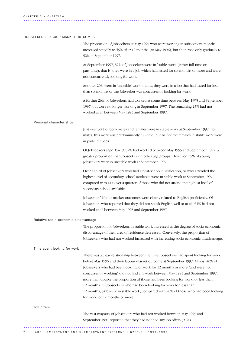### JOBSEEKERS' LABOUR MARKET OUTCOMES

|                                      | The proportion of Jobseekers at May 1995 who were working in subsequent months<br>increased steadily to 45% after 12 months (to May 1996), but then rose only gradually to<br>52% in September 1997.                                                                                                                                                                                                                                                                                                                                                                                                                                |
|--------------------------------------|-------------------------------------------------------------------------------------------------------------------------------------------------------------------------------------------------------------------------------------------------------------------------------------------------------------------------------------------------------------------------------------------------------------------------------------------------------------------------------------------------------------------------------------------------------------------------------------------------------------------------------------|
|                                      | At September 1997, 32% of Jobseekers were in 'stable' work (either full-time or<br>part-time), that is, they were in a job which had lasted for six months or more and were<br>not concurrently looking for work.                                                                                                                                                                                                                                                                                                                                                                                                                   |
|                                      | Another 20% were in 'unstable' work, that is, they were in a job that had lasted for less<br>than six months or the Jobseeker was concurrently looking for work.                                                                                                                                                                                                                                                                                                                                                                                                                                                                    |
|                                      | A further 26% of Jobseekers had worked at some time between May 1995 and September<br>1997, but were no longer working at September 1997. The remaining 23% had not<br>worked at all between May 1995 and September 1997.                                                                                                                                                                                                                                                                                                                                                                                                           |
| Personal characteristics             |                                                                                                                                                                                                                                                                                                                                                                                                                                                                                                                                                                                                                                     |
|                                      | Just over 30% of both males and females were in stable work at September 1997. For<br>males, this work was predominantly full-time, but half of the females in stable work were<br>in part-time jobs.                                                                                                                                                                                                                                                                                                                                                                                                                               |
|                                      | Of Jobseekers aged 15-19, 87% had worked between May 1995 and September 1997, a<br>greater proportion than Jobseekers in other age groups. However, 25% of young<br>Jobseekers were in unstable work at September 1997.                                                                                                                                                                                                                                                                                                                                                                                                             |
|                                      | Over a third of Jobseekers who had a post-school qualification, or who attended the<br>highest level of secondary school available, were in stable work at September 1997,<br>compared with just over a quarter of those who did not attend the highest level of<br>secondary school available.                                                                                                                                                                                                                                                                                                                                     |
|                                      | Jobseekers' labour market outcomes were clearly related to English proficiency. Of<br>Jobseekers who reported that they did not speak English well or at all, 61% had not<br>worked at all between May 1995 and September 1997.                                                                                                                                                                                                                                                                                                                                                                                                     |
| Relative socio-economic disadvantage |                                                                                                                                                                                                                                                                                                                                                                                                                                                                                                                                                                                                                                     |
|                                      | The proportion of Jobseekers in stable work increased as the degree of socio-economic<br>disadvantage of their area of residence decreased. Conversely, the proportion of<br>Jobseekers who had not worked increased with increasing socio-economic disadvantage.                                                                                                                                                                                                                                                                                                                                                                   |
| Time spent looking for work          |                                                                                                                                                                                                                                                                                                                                                                                                                                                                                                                                                                                                                                     |
|                                      | There was a clear relationship between the time Jobseekers had spent looking for work<br>before May 1995 and their labour market outcome at September 1997. Almost 40% of<br>Jobseekers who had been looking for work for 12 months or more (and were not<br>concurrently working) did not find any work between May 1995 and September 1997,<br>more than double the proportion of those had been looking for work for less than<br>12 months. Of Jobseekers who had been looking for work for less than<br>12 months, 34% were in stable work, compared with 20% of those who had been looking<br>for work for 12 months or more. |
| Job offers                           |                                                                                                                                                                                                                                                                                                                                                                                                                                                                                                                                                                                                                                     |
|                                      | The vast majority of Jobseekers who had not worked between May 1995 and<br>September 1997 reported that they had not had any job offers (91%).                                                                                                                                                                                                                                                                                                                                                                                                                                                                                      |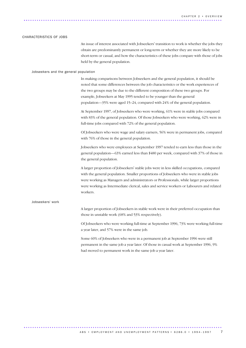#### CHARACTERISTICS OF JOBS

An issue of interest associated with Jobseekers' transition to work is whether the jobs they obtain are predominantly permanent or long-term or whether they are more likely to be short-term or casual, and how the characteristics of these jobs compare with those of jobs held by the general population.

### Jobseekers and the general population

In making comparisons between Jobseekers and the general population, it should be noted that some differences between the job characteristics or the work experiences of the two groups may be due to the different composition of these two groups. For example, Jobseekers at May 1995 tended to be younger than the general population—35% were aged 15–24, compared with 24% of the general population.

At September 1997, of Jobseekers who were working, 61% were in stable jobs compared with 83% of the general population. Of those Jobseekers who were working, 62% were in full-time jobs compared with 72% of the general population.

Of Jobseekers who were wage and salary earners, 56% were in permanent jobs, compared with 76% of those in the general population.

Jobseekers who were employees at September 1997 tended to earn less than those in the general population—63% earned less than \$480 per week, compared with 37% of those in the general population.

A larger proportion of Jobseekers' stable jobs were in less skilled occupations, compared with the general population. Smaller proportions of Jobseekers who were in stable jobs were working as Managers and administrators or Professionals, while larger proportions were working as Intermediate clerical, sales and service workers or Labourers and related workers.

### Jobseekers' work

A larger proportion of Jobseekers in stable work were in their preferred occupation than those in unstable work (68% and 53% respectively).

Of Jobseekers who were working full-time at September 1996, 73% were working full-time a year later, and 57% were in the same job.

Some 60% of Jobseekers who were in a permanent job at September 1996 were still permanent in the same job a year later. Of those in casual work at September 1996, 9% had moved to permanent work in the same job a year later.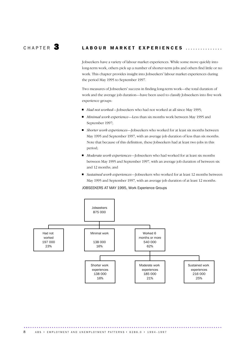### CHAPTER  $\overline{\mathbf{3}}$  LABOUR MARKET EXPERIENCES ................

Jobseekers have a variety of labour market experiences. While some move quickly into long-term work, others pick up a number of shorter-term jobs and others find little or no work. This chapter provides insight into Jobseekers' labour market experiences during the period May 1995 to September 1997.

Two measures of Jobseekers' success in finding long-term work—the total duration of work and the average job duration—have been used to classify Jobseekers into five work experience groups:

- *Had not worked*—Jobseekers who had not worked at all since May 1995;
- *Minimal work experience*—Less than six months work between May 1995 and September 1997;
- *Shorter work experiences*—Jobseekers who worked for at least six months between May 1995 and September 1997, with an average job duration of less than six months. Note that because of this definition, these Jobseekers had at least two jobs in this period;
- *Moderate work experiences*—Jobseekers who had worked for at least six months between May 1995 and September 1997, with an average job duration of between six and 12 months; and
- *Sustained work experiences*—Jobseekers who worked for at least 12 months between May 1995 and September 1997, with an average job duration of at least 12 months.

JOBSEEKERS AT MAY 1995, Work Experience Groups

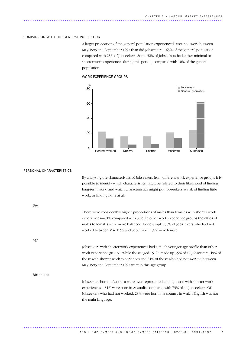### COMPARISON WITH THE GENERAL POPULATION

A larger proportion of the general population experienced sustained work between May 1995 and September 1997 than did Jobseekers—63% of the general population compared with 25% of Jobseekers. Some 32% of Jobseekers had either minimal or shorter work experiences during this period, compared with 10% of the general population.

### WORK EXPERIENCE GROUPS



| By analysing the characteristics of Jobseekers from different work experience groups it is<br>possible to identify which characteristics might be related to their likelihood of finding<br>long-term work, and which characteristics might put Jobseekers at risk of finding little<br>work, or finding none at all. |
|-----------------------------------------------------------------------------------------------------------------------------------------------------------------------------------------------------------------------------------------------------------------------------------------------------------------------|
|                                                                                                                                                                                                                                                                                                                       |
| There were considerably higher proportions of males than females with shorter work<br>experiences—61% compared with 39%. In other work experience groups the ratios of<br>males to females were more balanced. For example, 50% of Jobseekers who had not<br>worked between May 1995 and September 1997 were female.  |
|                                                                                                                                                                                                                                                                                                                       |
| Jobseekers with shorter work experiences had a much younger age profile than other<br>work experience groups. While those aged 15–24 made up 35% of all Jobseekers, 49% of<br>those with shorter work experiences and 24% of those who had not worked between<br>May 1995 and September 1997 were in this age group.  |
|                                                                                                                                                                                                                                                                                                                       |
| Jobseekers born in Australia were over-represented among those with shorter work<br>experiences-81% were born in Australia compared with 73% of all Jobseekers. Of<br>Jobseekers who had not worked, 28% were born in a country in which English was not<br>the main language.                                        |
|                                                                                                                                                                                                                                                                                                                       |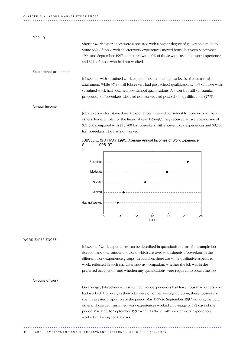#### Mobility

Shorter work experiences were associated with a higher degree of geographic mobility. Some 58% of those with shorter work experiences moved house between September 1994 and September 1997, compared with 40% of those with sustained work experiences and 32% of those who had not worked.

### Educational attainment

Jobseekers with sustained work experiences had the highest levels of educational attainment. While 37% of all Jobseekers had post-school qualifications, 40% of those with sustained work had obtained post-school qualifications. A lower but still substantial proportion of Jobseekers who had not worked had post-school qualifications (27%).

### Annual income

Jobseekers with sustained work experiences received considerably more income than others. For example, for the financial year 1996–97, they received an average income of \$21,500 compared with \$13,700 for Jobseekers with shorter work experiences and \$8,600 for Jobseekers who had not worked.



### JOBSEEKERS AT MAY 1995, Average Annual Incomes of Work Experience Groups—1996–97

### WORK EXPERIENCES

Jobseekers' work experiences can be described in quantitative terms, for example job duration and total amount of work, which are used to distinguish Jobseekers in the different work experience groups. In addition, there are some qualitative aspects to work, reflected in such characteristics as occupation, whether the job was in the preferred occupation, and whether any qualifications were required to obtain the job.

### Amount of work

On average, Jobseekers with sustained work experiences had fewer jobs than others who had worked. However, as their jobs were of longer average duration, these Jobseekers spent a greater proportion of the period May 1995 to September 1997 working than did others. Those with sustained work experiences worked an average of 692 days of the period May 1995 to September 1997 whereas those with shorter work experiences worked an average of 408 days.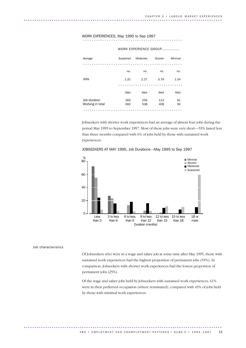## WORK EXPERIENCES, May 1995 to Sep 1997 ..............................................

| Average          | Sustained | Moderate | Shorter | Minimal |
|------------------|-----------|----------|---------|---------|
|                  |           |          |         |         |
|                  | no.       | no.      | no.     | no.     |
| Jobs             | 1.31      | 2.27     | 3.79    | 1.54    |
|                  |           |          |         |         |
|                  | days      | days     | days    | days    |
| Job duration     | 565       | 256      | 113     | 61      |
| Working in total | 692       | 538      | 408     | 94      |
|                  |           |          |         |         |

WORK EXPERIENCE GROUP..............

Jobseekers with shorter work experiences had an average of almost four jobs during the period May 1995 to September 1997. Most of these jobs were very short—55% lasted less than three months compared with 6% of jobs held by those with sustained work experiences.



JOBSEEKERS AT MAY 1995, Job Durations—May 1995 to Sep 1997

### Job characteristics

Of Jobseekers who were in a wage and salary job at some time after May 1995, those with sustained work experiences had the highest proportion of permanent jobs (55%). In comparison, Jobseekers with shorter work experiences had the lowest proportion of permanent jobs (25%).

Of the wage and salary jobs held by Jobseekers with sustained work experiences, 61% were in their preferred occupation (where nominated), compared with 45% of jobs held by those with minimal work experiences.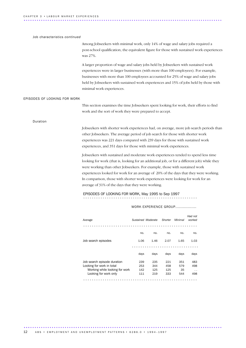### Job characteristics *continued*

Among Jobseekers with minimal work, only 14% of wage and salary jobs required a post-school qualification; the equivalent figure for those with sustained work experiences was 27%.

A larger proportion of wage and salary jobs held by Jobseekers with sustained work experiences were in larger businesses (with more than 100 employees). For example, businesses with more than 100 employees accounted for 25% of wage and salary jobs held by Jobseekers with sustained work experiences and 15% of jobs held by those with minimal work experiences.

#### EPISODES OF LOOKING FOR WORK

This section examines the time Jobseekers spent looking for work, their efforts to find work and the sort of work they were prepared to accept.

### Duration

Jobseekers with shorter work experiences had, on average, more job search periods than other Jobseekers. The average period of job search for those with shorter work experiences was 221 days compared with 239 days for those with sustained work experiences, and 351 days for those with minimal work experiences.

Jobseekers with sustained and moderate work experiences tended to spend less time looking for work (that is, looking for an additional job, or for a different job) while they were working than other Jobseekers. For example, those with sustained work experiences looked for work for an average of 20% of the days that they were working. In comparison, those with shorter work experiences were looking for work for an average of 31% of the days that they were working.

## EPISODES OF LOOKING FOR WORK, May 1995 to Sep 1997 .....................................................

### WORK EXPERIENCE GROUP.................

| Average                        | Sustained Moderate |      | Shorter | Minimal | Had not<br>worked |
|--------------------------------|--------------------|------|---------|---------|-------------------|
|                                |                    |      |         |         |                   |
|                                | no.                | no.  | no.     | no.     | no.               |
| Job search episodes            | 1.06               | 1.46 | 2.07    | 1.65    | 1.03              |
|                                |                    |      |         |         |                   |
|                                | days               | days | days    | days    | days              |
| Job search episode duration    | 239                | 235  | 221     | 351     | 483               |
| Looking for work in total      | 253                | 344  | 458     | 579     | 498               |
| Working while looking for work | 142                | 125  | 125     | 35      | $\cdot$ .         |
| Looking for work only          | 111                | 219  | 333     | 544     | 498               |
|                                |                    |      |         |         |                   |

............................................................................................ ... 12 A B S • EM PLOYMENT AND UNEMPLOYMENT PATTERNS • 6286.0 • 1994-1997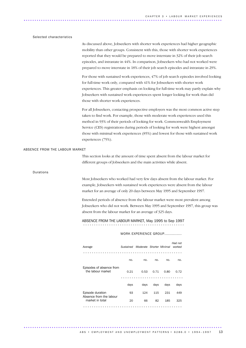### Selected characteristics

As discussed above, Jobseekers with shorter work experiences had higher geographic mobility than other groups. Consistent with this, those with shorter work experiences reported that they would be prepared to move interstate in 32% of their job search episodes, and intrastate in 44%. In comparison, Jobseekers who had not worked were prepared to move interstate in 18% of their job search episodes and intrastate in 29%.

For those with sustained work experiences, 47% of job search episodes involved looking for full-time work only, compared with 41% for Jobseekers with shorter work experiences. This greater emphasis on looking for full-time work may partly explain why Jobseekers with sustained work experiences spent longer looking for work than did those with shorter work experiences.

For all Jobseekers, contacting prospective employers was the most common active step taken to find work. For example, those with moderate work experiences used this method in 93% of their periods of looking for work. Commonwealth Employment Service (CES) registrations during periods of looking for work were highest amongst those with minimal work experiences (85%) and lowest for those with sustained work experiences (75%).

#### ABSENCE FROM THE LABOUR MARKET

This section looks at the amount of time spent absent from the labour market for different groups of Jobseekers and the main activities while absent.

Durations

Most Jobseekers who worked had very few days absent from the labour market. For example, Jobseekers with sustained work experiences were absent from the labour market for an average of only 20 days between May 1995 and September 1997.

Extended periods of absence from the labour market were most prevalent among Jobseekers who did not work. Between May 1995 and September 1997, this group was absent from the labour market for an average of 325 days.

ABSENCE FROM THE LABOUR MARKET, May 1995 to Sep 1997 ...............................................

### WORK EXPERIENCE GROUP..............

| Average                                                        |      | Sustained Moderate Shorter Minimal |      |      | Had not<br>worked |
|----------------------------------------------------------------|------|------------------------------------|------|------|-------------------|
|                                                                |      |                                    |      |      |                   |
|                                                                | no.  | no.                                | no.  | no.  | no.               |
| Episodes of absence from<br>the labour market                  | 0.21 | 0.53                               | 0.71 | 0.80 | 0.72              |
|                                                                | days | days                               | days | days | days              |
| Episode duration<br>Absence from the labour<br>market in total | 93   | 124                                | 115  | 231  | 449               |
|                                                                | 20   | 66                                 | 82   | 185  | 325               |
|                                                                |      |                                    |      |      |                   |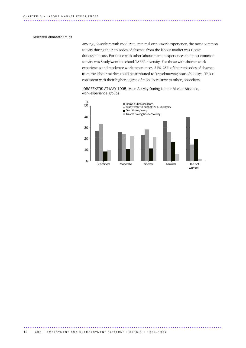### Selected characteristics

Among Jobseekers with moderate, minimal or no work experience, the most common activity during their episodes of absence from the labour market was Home duties/childcare. For those with other labour market experiences the most common activity was Study/went to school/TAFE/university. For those with shorter work experiences and moderate work experiences, 21%–23% of their episodes of absence from the labour market could be attributed to Travel/moving house/holidays. This is consistent with their higher degree of mobility relative to other Jobseekers.

JOBSEEKERS AT MAY 1995, Main Activity During Labour Market Absence, work experience groups

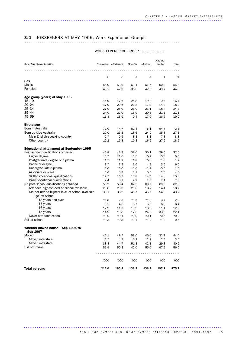# 3.1 JOBSEEKERS AT MAY 1995, Work Experience Groups ........................................................................

### WORK EXPERIENCE GROUP.....................

|                                                                     |         |                    |         |         | Had not |        |
|---------------------------------------------------------------------|---------|--------------------|---------|---------|---------|--------|
| Selected characteristics                                            |         | Sustained Moderate | Shorter | Minimal | worked  | Total  |
| .                                                                   |         |                    |         |         |         |        |
|                                                                     | %       | %                  | %       | %       | %       | %      |
| Sex                                                                 |         |                    |         |         |         |        |
| <b>Males</b>                                                        | 56.9    | 53.0               | 61.4    | 57.5    | 50.3    | 55.4   |
| Females                                                             | 43.1    | 47.0               | 38.6    | 42.5    | 49.7    | 44.6   |
| Age group (years) at May 1995                                       |         |                    |         |         |         |        |
| $15 - 19$                                                           | 14.9    | 17.6               | 25.8    | 19.4    | 9.4     | 16.7   |
| $20 - 24$                                                           | 17.9    | 20.6               | 22.8    | 17.3    | 14.3    | 18.3   |
| $25 - 34$                                                           | 27.9    | 25.9               | 26.0    | 26.1    | 18.4    | 24.8   |
| 35-44                                                               | 24.0    | 22.0               | 15.9    | 20.3    | 21.3    | 21.1   |
| $45 - 59$                                                           | 15.3    | 13.9               | 9.4     | 17.0    | 36.6    | 19.2   |
| <b>Birthplace</b>                                                   |         |                    |         |         |         |        |
| Born in Australia                                                   | 71.0    | 74.7               | 81.4    | 75.1    | 64.7    | 72.6   |
| Born outside Australia                                              | 29.0    | 25.3               | 18.6    | 24.9    | 35.3    | 27.3   |
| Main English-speaking country                                       | 9.7     | 9.5                | 8.3     | 8.3     | 7.8     | 8.8    |
| Other country                                                       | 19.2    | 15.8               | 10.3    | 16.6    | 27.6    | 18.5   |
| <b>Educational attainment at September 1995</b>                     |         |                    |         |         |         |        |
| Post-school qualifications obtained                                 | 42.8    | 41.3               | 37.6    | 35.1    | 29.5    | 37.4   |
| Higher degree                                                       | $*0.7$  | $*1.0$             | $*0.5$  | $*0.2$  | $*0.0*$ | 0.5    |
| Postgraduate degree or diploma                                      | $*1.5$  | $*1.2$             | $*1.8$  | $*0.8$  | $*1.0$  | 1.2    |
| Bachelor degree                                                     | 8.7     | 7.3                | 7.6     | 4.9     | 3.6     | 6.5    |
| Undergraduate diploma                                               | 2.0     | $*2.0$             | $*1.6$  | $*1.7$  | $*0.6$  | 1.6    |
| Associate diploma                                                   | 5.0     | 5.3                | 5.1     | 5.5     | 2.3     | 4.5    |
| Skilled vocational qualifications                                   | 17.7    | 16.3               | 13.8    | 14.3    | 14.8    | 15.6   |
| Basic vocational qualifications                                     | 7.4     | 8.2                | 7.2     | 7.8     | 7.1     | 7.5    |
| No post-school qualifications obtained                              | 56.9    | 58.4               | 62.3    | 63.9    | 69.5    | 62.0   |
| Attended highest level of school available                          | 20.8    | 20.2               | 20.6    | 18.2    | 14.1    | 18.7   |
| Did not attend highest level of school available<br>Age left school | 36.1    | 38.2               | 41.7    | 45.7    | 54.9    | 43.2   |
| 18 years and over                                                   | $*1.8$  | 2.5                | $*1.5$  | $*1.3$  | 3.7     | 2.2    |
| 17 years                                                            | 6.5     | 4.6                | 8.7     | 5.9     | 6.6     | 6.4    |
| 16 years                                                            | 12.9    | 11.3               | 13.9    | 13.9    | 11.1    | 12.5   |
| 15 years                                                            | 14.9    | 19.8               | 17.6    | 24.6    | 33.5    | 22.1   |
| Never attended school                                               | $*0.0*$ | $*0.1$             | $*0.0*$ | $*0.1$  | $*0.5$  | $*0.2$ |
| Still at school                                                     | $*0.3$  | $*0.3$             | $*0.1$  | $*1.0$  | $*1.0$  | 0.5    |
| Whether moved house-Sep 1994 to<br>Sep 1997                         |         |                    |         |         |         |        |
| Moved                                                               | 40.1    | 49.7               | 58.0    | 45.0    | 32.1    | 44.0   |
| Moved interstate                                                    | $*1.7$  | 4.9                | 6.2     | $*2.9$  | 2.4     | 3.4    |
| Moved intrastate                                                    | 38.4    | 44.7               | 51.8    | 42.1    | 29.8    | 40.5   |
| Did not move                                                        | 59.9    | 50.3               | 42.0    | 55.0    | 67.9    | 56.0   |
|                                                                     |         |                    |         |         |         |        |
|                                                                     |         |                    |         |         |         |        |
|                                                                     | '000    | '000               | '000    | '000    | '000    | '000   |
| <b>Total persons</b>                                                | 216.0   | 185.2              | 138.3   | 138.3   | 197.2   | 875.1  |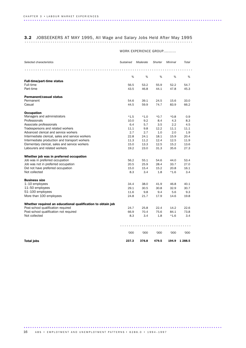# 3.2 JOBSEEKERS AT MAY 1995, All Wage and Salary Jobs Held After May 1995 ..............................................................................

| Selected characteristics                                    | Sustained | Moderate | Shorter | Minimal | Total      |
|-------------------------------------------------------------|-----------|----------|---------|---------|------------|
|                                                             |           |          |         |         |            |
|                                                             | %         | %        | %       | %       | %          |
| <b>Full-time/part-time status</b>                           |           |          |         |         |            |
| Full-time                                                   | 56.5      | 53.2     | 55.9    | 52.2    | 54.7       |
| Part-time                                                   | 43.5      | 46.8     | 44.1    | 47.8    | 45.3       |
| <b>Permanent/casual status</b>                              |           |          |         |         |            |
| Permanent                                                   | 54.6      | 39.1     | 24.5    | 15.6    | 33.0       |
| Casual                                                      | 44.5      | 59.9     | 74.7    | 83.9    | 66.2       |
| <b>Occupation</b>                                           |           |          |         |         |            |
| Managers and administrators                                 | $*1.5$    | $*1.0$   | $*0.7$  | $*0.8$  | 0.9        |
| Professionals                                               | 10.0      | 9.2      | 8.4     | 4.3     | 8.3        |
| Associate professionals                                     | 6.4       | 5.7      | 3.5     | 2.2     | 4.5        |
| Tradespersons and related workers                           | 11.1      | 9.8      | 12.2    | 11.1    | 11.1       |
| Advanced clerical and service workers                       | 2.7       | 2.7      | 1.0     | 2.0     | 1.9        |
| Intermediate clerical, sales and service workers            | 22.8      | 24.1     | 18.1    | 15.9    | 20.4       |
| Intermediate production and transport workers               | 11.3      | 11.2     | 12.4    | 12.5    | 11.9       |
| Elementary clerical, sales and service workers              | 15.0      | 13.3     | 12.5    | 15.2    | 13.6       |
| Labourers and related workers                               | 19.2      | 23.0     | 31.3    | 35.6    | 27.3       |
| Whether job was in preferred occupation                     |           |          |         |         |            |
| Job was in preferred occupation                             | 56.2      | 55.1     | 54.6    | 44.0    | 53.4       |
| Job was not in preferred occupation                         | 20.5      | 25.9     | 28.4    | 33.7    | 27.0       |
| Did not have preferred occupation                           | 15.0      | 15.4     | 15.2    | 20.8    | 16.1       |
| Not collected                                               | 8.3       | 3.4      | 1.8     | $*1.6$  | 3.4        |
| <b>Business size</b>                                        |           |          |         |         |            |
| $1-10$ employees                                            | 34.4      | 38.0     | 41.9    | 46.8    | 40.1       |
| 11–50 employees                                             | 29.1      | 30.5     | 30.8    | 32.9    | 30.7       |
| 51-100 employees                                            | 11.6      | 9.8      | 9.4     | 5.6     | 9.3        |
| More than 100 employees                                     | 24.8      | 21.7     | 17.9    | 14.6    | 19.8       |
| Whether required an educational qualification to obtain job |           |          |         |         |            |
| Post-school qualification required                          | 24.7      | 25.8     | 22.4    | 14.2    | 22.6       |
| Post-school qualification not required                      | 66.9      | 70.4     | 75.6    | 84.1    | 73.8       |
| Not collected                                               | 8.3       | 3.4      | 1.8     | $*1.6$  | 3.4        |
|                                                             |           |          |         |         |            |
|                                                             | '000      | '000     | '000    | '000    | '000       |
| <b>Total jobs</b>                                           | 237.3     | 376.8    | 479.5   | 194.9   | 1 2 8 8 .5 |

### WORK EXPERIENCE GROUP..........

16 ABS • EMPLOYMENT AND UNEMPLOYMENT PATTERNS • 6286.0 • 1994-1997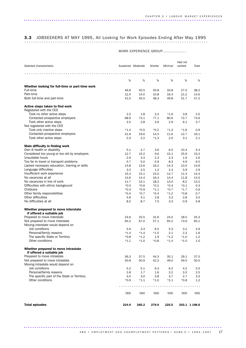# 3.3 JOBSEEKERS AT MAY 1995, All Looking for Work Episodes Ending After May 1995 .....................................................................................

### WORK EXPERIENCE GROUP...................

|                                                                                           |             |                    |               |               | Had not       |               |
|-------------------------------------------------------------------------------------------|-------------|--------------------|---------------|---------------|---------------|---------------|
| Selected characteristics                                                                  |             | Sustained Moderate | Shorter       | Minimal       | worked        | Total         |
|                                                                                           |             |                    |               |               |               |               |
|                                                                                           |             |                    |               |               |               |               |
|                                                                                           | %           | %                  | %             | %             | %             | %             |
|                                                                                           |             |                    |               |               |               |               |
| Whether looking for full-time or part-time work<br>Full-time                              | 46.6        | 40.5               | 40.8          | 33.8          | 27.0          | 38.2          |
| Part-time                                                                                 | 12.4        | 14.0               | 10.8          | 16.4          | 21.2          | 14.6          |
| Both full-time and part-time                                                              | 41.0        | 45.5               | 48.3          | 49.8          | 51.7          | 47.2          |
|                                                                                           |             |                    |               |               |               |               |
| Active steps taken to find work                                                           |             |                    |               |               |               |               |
| Registered with the CES                                                                   |             |                    |               |               |               |               |
| Took no other active steps                                                                | 2.2         | 1.8                | 3.3           | $*1.6$        | 3.8           | 2.5           |
| Contacted prospective employers                                                           | 68.9        | 73.1               | 77.1          | 80.6          | 72.7          | 74.6          |
| Took other active steps                                                                   | 3.5         | 2.8                | 3.6           | 2.9           | 6.1           | 3.7           |
| Not registered with the CES                                                               |             |                    |               |               |               |               |
| Took only inactive steps                                                                  | $*1.4$      | $*0.5$             | $*0.2$        | $*1.3$        | $*1.6$        | 0.9           |
| Contacted prospective employers                                                           | 21.6        | 19.6               | 14.5          | 11.6          | 12.7          | 16.1          |
| Took other active steps                                                                   | 2.3         | 2.2                | $*1.3$        | 2.0           | 3.1           | 2.1           |
|                                                                                           |             |                    |               |               |               |               |
| Main difficulty in finding work                                                           |             |                    |               |               |               |               |
| Own ill health or disability                                                              | 5.1         | 2.7                | 3.6           | 6.5           | 10.4          | 5.4           |
| Considered too young or too old by employers                                              | 12.7        | 15.2               | 9.6           | 15.1          | 25.9          | 15.2          |
| Unsuitable hours                                                                          | 2.9         | 3.4                | 2.3           | 2.3           | 1.9           | 2.6           |
| Too far to travel or transport problems<br>Lacked necessary education, training or skills | 5.7<br>14.8 | 5.0<br>13.6        | 5.9<br>16.2   | 8.3<br>14.3   | 4.9<br>13.5   | 6.0<br>14.6   |
| Language difficulties                                                                     | 3.2         | 2.5                | 1.2           | 2.4           | 5.9           | 2.9           |
| Insufficient work experience                                                              | 15.4        | 15.1               | 15.0          | 14.7          | 11.3          | 14.4          |
| No vacancies at all                                                                       | 14.6        | 14.4               | 16.4          | 14.4          | 11.8          | 14.5          |
| No vacancies in line of work                                                              | 11.7        | 13.1               | 18.2          | 13.0          | 8.2           | 13.2          |
| Difficulties with ethnic background                                                       | $*0.5$      | $*0.6$             | $*0.2$        | $*0.4$        | $*0.1$        | 0.3           |
| Childcare                                                                                 | $*0.4$      | $*0.9$             | $*1.1$        | $*0.7$        | $*1.7$        | 0.9           |
| Other family responsibilities                                                             | $*0.4$      | $*0.7$             | $*0.4$        | $*1.2$        | $*0.8$        | 0.7           |
| Other difficulties                                                                        | 4.6         | 4.1                | 2.8           | 3.3           | 2.8           | 3.5           |
| No difficulties at all                                                                    | 8.0         | 8.7                | 7.0           | 3.3           | 0.9           | 5.8           |
|                                                                                           |             |                    |               |               |               |               |
| Whether prepared to move interstate                                                       |             |                    |               |               |               |               |
| if offered a suitable job                                                                 |             |                    |               |               |               |               |
| Prepared to move interstate                                                               | 24.6        | 25.5               | 31.6          | 24.0          | 18.5          | 25.3          |
| Not prepared to move interstate                                                           | 65.2        | 67.0               | 57.1          | 65.2          | 73.6          | 65.1          |
| Moving interstate would depend on                                                         |             |                    |               |               |               |               |
| Job conditions                                                                            | 5.9         | 3.3                | 6.5           | 5.3           | 3.2           | 4.9           |
| Personal/family reasons                                                                   | $*1.4$      | $*1.4$             | $*1.0$        | 2.1           | 2.3           | 1.6           |
| The specific State or Territory                                                           | $*0.8$      | $*1.2$             | 1.9           | $*1.2$        | $*1.0$        | 1.2           |
| Other conditions                                                                          | $*1.1$      | $*1.0$             | $*0.8$        | $*1.4$        | $*1.0$        | 1.0           |
|                                                                                           |             |                    |               |               |               |               |
| Whether prepared to move intrastate                                                       |             |                    |               |               |               |               |
| if offered a suitable job                                                                 |             |                    |               |               |               |               |
| Prepared to move intrastate                                                               | 36.3        | 37.5               | 44.3          | 35.1          | 29.1          | 37.0          |
| Not prepared to move intrastate<br>Moving intrastate would depend on                      | 50.8        | 50.9               | 42.3          | 49.0          | 59.5          | 50.0          |
|                                                                                           |             |                    |               |               |               |               |
| Job conditions<br>Personal/family reasons                                                 | 5.2         | 5.1                | 6.3           | 6.2           | 4.2           | 5.5           |
| The specific part of the State or Territory                                               | 2.8<br>3.0  | 1.7                | 1.6           | 3.2           | 3.5           | $2.5\,$       |
| Other conditions                                                                          | $*0.9$      | 3.0<br>$*1.1$      | 3.8<br>$*1.0$ | 3.7<br>$*2.1$ | 2.7<br>$*0.8$ | 3.3<br>1.2    |
|                                                                                           |             |                    |               |               |               |               |
|                                                                                           |             |                    |               |               |               |               |
|                                                                                           | '000        | '000               | '000          | '000          | '000          | '000          |
|                                                                                           |             |                    |               |               |               |               |
|                                                                                           |             |                    |               |               |               |               |
| <b>Total episodes</b>                                                                     | 224.9       | 265.2              | 279.9         | 225.5         |               | 203.1 1 198.6 |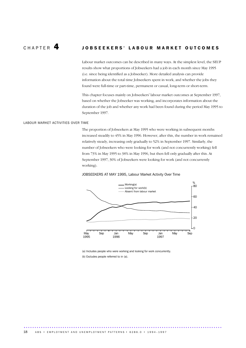### CHAPTER 4 JOBSEEKERS' LABOUR MARKET OUTCOMES

Labour market outcomes can be described in many ways. At the simplest level, the SEUP results show what proportions of Jobseekers had a job in each month since May 1995 (i.e. since being identified as a Jobseeker). More detailed analysis can provide information about the total time Jobseekers spent in work, and whether the jobs they found were full-time or part-time, permanent or casual, long-term or short-term.

This chapter focuses mainly on Jobseekers' labour market outcomes at September 1997, based on whether the Jobseeker was working, and incorporates information about the duration of the job and whether any work had been found during the period May 1995 to September 1997.

### LABOUR MARKET ACTIVITIES OVER TIME

The proportion of Jobseekers at May 1995 who were working in subsequent months increased steadily to 45% in May 1996. However, after this, the number in work remained relatively steady, increasing only gradually to 52% in September 1997. Similarly, the number of Jobseekers who were looking for work (and not concurrently working) fell from 73% in May 1995 to 38% in May 1996, but then fell only gradually after this. At September 1997, 30% of Jobseekers were looking for work (and not concurrently working).

### JOBSEEKERS AT MAY 1995, Labour Market Activity Over Time



(a) Includes people who were working and looking for work concurrently. (b) Excludes people referred to in (a).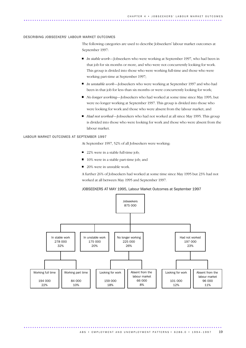### DESCRIBING JOBSEEKERS' LABOUR MARKET OUTCOMES

The following categories are used to describe Jobseekers' labour market outcomes at September 1997:

- *In stable work*—Jobseekers who were working at September 1997, who had been in that job for six months or more, and who were not concurrently looking for work. This group is divided into those who were working full-time and those who were working part-time at September 1997;
- *In unstable work*—Jobseekers who were working at September 1997 and who had been in that job for less than six months or were concurrently looking for work;
- *No longer working*—Jobseekers who had worked at some time since May 1995, but were no longer working at September 1997. This group is divided into those who were looking for work and those who were absent from the labour market; and
- *Had not worked*—Iobseekers who had not worked at all since May 1995. This group is divided into those who were looking for work and those who were absent from the labour market.

#### LABOUR MARKET OUTCOMES AT SEPTEMBER 1997

At September 1997, 52% of all Jobseekers were working:

- 22% were in a stable full-time job;
- 10% were in a stable part-time job; and
- 20% were in unstable work.

A further 26% of Jobseekers had worked at some time since May 1995 but 23% had not worked at all between May 1995 and September 1997.

### JOBSEEKERS AT MAY 1995, Labour Market Outcomes at September 1997

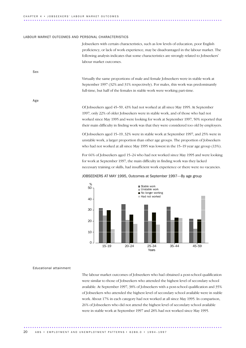## C H A P T E R 4 • J O B S E E K E R S ' L A B O U R M A R K E T O U T C O M E S ............................................................................................ ..

#### LABOUR MARKET OUTCOMES AND PERSONAL CHARACTERISTICS

Jobseekers with certain characteristics, such as low levels of education, poor English proficiency, or lack of work experience, may be disadvantaged in the labour market. The following analysis indicates that some characteristics are strongly related to Jobseekers' labour market outcomes.

Sex

Virtually the same proportions of male and female Jobseekers were in stable work at September 1997 (32% and 31% respectively). For males, this work was predominantly full-time, but half of the females in stable work were working part-time.

Age

Of Jobseekers aged 45–59, 43% had not worked at all since May 1995. At September 1997, only 22% of older Jobseekers were in stable work, and of those who had not worked since May 1995 and were looking for work at September 1997, 50% reported that their main difficulty in finding work was that they were considered too old by employers.

Of Jobseekers aged 15–19, 32% were in stable work at September 1997, and 25% were in unstable work, a larger proportion than other age groups. The proportion of Jobseekers who had not worked at all since May 1995 was lowest in the 15–19 year age group (13%).

For 66% of Jobseekers aged 15–24 who had not worked since May 1995 and were looking for work at September 1997, the main difficulty in finding work was they lacked necessary training or skills, had insufficient work experience or there were no vacancies.



### JOBSEEKERS AT MAY 1995, Outcomes at September 1997—By age group

### Educational attainment

The labour market outcomes of Jobseekers who had obtained a post-school qualification were similar to those of Jobseekers who attended the highest level of secondary school available. At September 1997, 38% of Jobseekers with a post-school qualification and 35% of Jobseekers who attended the highest level of secondary school available were in stable work. About 17% in each category had not worked at all since May 1995. In comparison, 26% of Jobseekers who did not attend the highest level of secondary school available were in stable work at September 1997 and 28% had not worked since May 1995.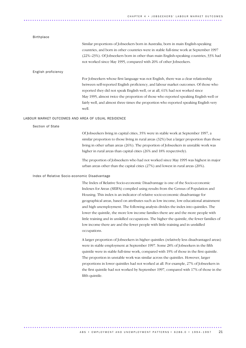### Birthplace

Similar proportions of Jobseekers born in Australia, born in main English-speaking countries, and born in other countries were in stable full-time work at September 1997 (22%–23%). Of Jobseekers born in other than main English-speaking countries, 33% had not worked since May 1995, compared with 20% of other Jobseekers.

### English proficiency

For Jobseekers whose first language was not English, there was a clear relationship between self-reported English proficiency, and labour market outcomes. Of those who reported they did not speak English well, or at all, 61% had not worked since May 1995, almost twice the proportion of those who reported speaking English well or fairly well, and almost three times the proportion who reported speaking English very well.

### LABOUR MARKET OUTCOMES AND AREA OF USUAL RESIDENCE

Section of State

Of Jobseekers living in capital cities, 35% were in stable work at September 1997, a similar proportion to those living in rural areas (32%) but a larger proportion than those living in other urban areas (26%). The proportion of Jobseekers in unstable work was higher in rural areas than capital cities (26% and 18% respectively).

The proportion of Jobseekers who had not worked since May 1995 was highest in major urban areas other than the capital cities (27%) and lowest in rural areas (20%).

### Index of Relative Socio-economic Disadvantage

The Index of Relative Socio-economic Disadvantage is one of the Socio-economic Indexes for Areas (SEIFA) compiled using results from the Census of Population and Housing. This index is an indicator of relative socio-economic disadvantage for geographical areas, based on attributes such as low income, low educational attainment and high unemployment. The following analysis divides the index into quintiles. The lower the quintile, the more low income families there are and the more people with little training and in unskilled occupations. The higher the quintile, the fewer families of low income there are and the fewer people with little training and in unskilled occupations.

A larger proportion of Jobseekers in higher quintiles (relatively less disadvantaged areas) were in stable employment at September 1997. Some 28% of Jobseekers in the fifth quintile were in stable full-time work, compared with 19% of those in the first quintile. The proportion in unstable work was similar across the quintiles. However, larger proportions in lower quintiles had not worked at all. For example, 27% of Jobseekers in the first quintile had not worked by September 1997, compared with 17% of those in the fifth quintile.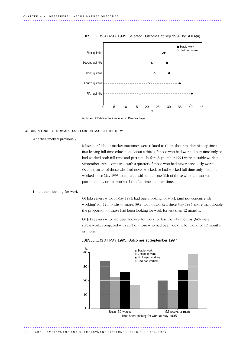

JOBSEEKERS AT MAY 1995, Selected Outcomes at Sep 1997 by SEIFA(a)

(a) Index of Relative Socio-economic Disadvantage

### LABOUR MARKET OUTCOMES AND LABOUR MARKET HISTORY

Whether worked previously

Jobseekers' labour market outcomes were related to their labour market history since first leaving full-time education. About a third of those who had worked part-time only or had worked both full-time and part-time before September 1994 were in stable work at September 1997, compared with a quarter of those who had never previously worked. Over a quarter of those who had never worked, or had worked full-time only, had not worked since May 1995, compared with under one-fifth of those who had worked part-time only or had worked both full-time and part-time.

### Time spent looking for work

Of Jobseekers who, at May 1995, had been looking for work (and not concurrently working) for 12 months or more, 39% had not worked since May 1995, more than double the proportion of those had been looking for work for less than 12 months.

Of Jobseekers who had been looking for work for less than 12 months, 34% were in stable work, compared with 20% of those who had been looking for work for 12 months or more.



### JOBSEEKERS AT MAY 1995, Outcomes at September 1997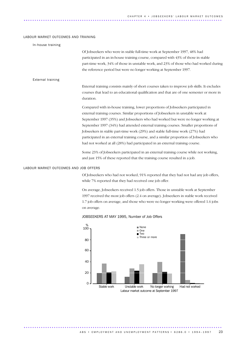### LABOUR MARKET OUTCOMES AND TRAINING

| In-house training                     |                                                                                                                                                                                                                                                                                                                                                                                                                                                                                                                                                                                                                                                                                                                                                                                    |
|---------------------------------------|------------------------------------------------------------------------------------------------------------------------------------------------------------------------------------------------------------------------------------------------------------------------------------------------------------------------------------------------------------------------------------------------------------------------------------------------------------------------------------------------------------------------------------------------------------------------------------------------------------------------------------------------------------------------------------------------------------------------------------------------------------------------------------|
|                                       | Of Jobseekers who were in stable full-time work at September 1997, 48% had<br>participated in an in-house training course, compared with 43% of those in stable<br>part-time work, 34% of those in unstable work, and 23% of those who had worked during<br>the reference period but were no longer working at September 1997.                                                                                                                                                                                                                                                                                                                                                                                                                                                     |
| External training                     |                                                                                                                                                                                                                                                                                                                                                                                                                                                                                                                                                                                                                                                                                                                                                                                    |
|                                       | External training consists mainly of short courses taken to improve job skills. It excludes<br>courses that lead to an educational qualification and that are of one semester or more in<br>duration.                                                                                                                                                                                                                                                                                                                                                                                                                                                                                                                                                                              |
|                                       | Compared with in-house training, lower proportions of Jobseekers participated in<br>external training courses. Similar proportions of Jobseekers in unstable work at<br>September 1997 (35%) and Jobseekers who had worked but were no longer working at<br>September 1997 (34%) had attended external training courses. Smaller proportions of<br>Jobseekers in stable part-time work (29%) and stable full-time work (27%) had<br>participated in an external training course, and a similar proportion of Jobseekers who<br>had not worked at all (28%) had participated in an external training course.<br>Some 23% of Jobseekers participated in an external training course while not working,<br>and just 15% of these reported that the training course resulted in a job. |
| LABOUR MARKET OUTCOMES AND JOB OFFERS |                                                                                                                                                                                                                                                                                                                                                                                                                                                                                                                                                                                                                                                                                                                                                                                    |
|                                       | Of Jobseekers who had not worked, 91% reported that they had not had any job offers,<br>while 7% reported that they had received one job offer.                                                                                                                                                                                                                                                                                                                                                                                                                                                                                                                                                                                                                                    |
|                                       | On average, Jobseekers received 1.5 job offers. Those in unstable work at September                                                                                                                                                                                                                                                                                                                                                                                                                                                                                                                                                                                                                                                                                                |

1997 received the most job offers (2.4 on average). Jobseekers in stable work received 1.7 job offers on average, and those who were no longer working were offered 1.6 jobs on average.

### Stable work Unstable work No longer working Had not worked Labour market outcome at September 1997  $\frac{\%}{100}$  $\overline{O}$ 20 40 60 80 ■ None  $\blacksquare$  One ■ Two Three or more

JOBSEEKERS AT MAY 1995, Number of Job Offers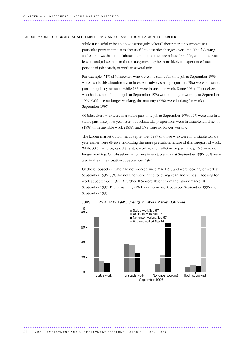#### LABOUR MARKET OUTCOMES AT SEPTEMBER 1997 AND CHANGE FROM 12 MONTHS EARLIER

While it is useful to be able to describe Jobseekers' labour market outcomes at a particular point in time, it is also useful to describe changes over time. The following analysis shows that some labour market outcomes are relatively stable, while others are less so, and Jobseekers in these categories may be more likely to experience future periods of job search, or work in several jobs.

For example, 71% of Jobseekers who were in a stable full-time job at September 1996 were also in this situation a year later. A relatively small proportion (5%) were in a stable part-time job a year later, while 13% were in unstable work. Some 10% of Jobseekers who had a stable full-time job at September 1996 were no longer working at September 1997. Of those no longer working, the majority (77%) were looking for work at September 1997.

Of Jobseekers who were in a stable part-time job at September 1996, 49% were also in a stable part-time job a year later, but substantial proportions were in a stable full-time job (18%) or in unstable work (18%), and 15% were no longer working.

The labour market outcomes at September 1997 of those who were in unstable work a year earlier were diverse, indicating the more precarious nature of this category of work. While 38% had progressed to stable work (either full-time or part-time), 26% were no longer working. Of Jobseekers who were in unstable work at September 1996, 36% were also in the same situation at September 1997.

Of those Jobseekers who had not worked since May 1995 and were looking for work at September 1996, 55% did not find work in the following year, and were still looking for work at September 1997. A further 16% were absent from the labour market at September 1997. The remaining 29% found some work between September 1996 and September 1997.



### JOBSEEKERS AT MAY 1995, Change in Labour Market Outcomes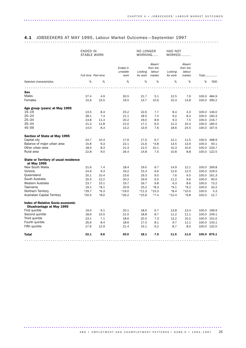# 4.1 JOBSEEKERS AT MAY 1995, Labour Market Outcomes—September 1997 ..........................................................................................

|                                                                     | ENDED IN<br><b>STABLE WORK</b> |        |                              | NO LONGER           | WORKING                                | HAD NOT<br>WORKED   |                                        |       |             |
|---------------------------------------------------------------------|--------------------------------|--------|------------------------------|---------------------|----------------------------------------|---------------------|----------------------------------------|-------|-------------|
|                                                                     | Full-time Part-time            |        | Ended in<br>unstable<br>work | Looking<br>for work | Absent<br>from the<br>labour<br>market | Looking<br>for work | Absent<br>from the<br>labour<br>market |       | Total       |
| Selected characteristics                                            | %                              | %      | %                            | %                   | %                                      | %                   | %                                      | %     | '000        |
|                                                                     |                                |        |                              |                     |                                        |                     |                                        |       |             |
| Sex                                                                 |                                |        |                              |                     |                                        |                     |                                        |       |             |
| <b>Males</b>                                                        | 27.4                           | 4.9    | 20.5                         | 21.7                | 5.1                                    | 12.5                | 7.9                                    |       | 100.0 484.9 |
| Females                                                             | 15.6                           | 15.5   | 19.5                         | 13.7                | 10.6                                   | 10.3                | 14.8                                   |       | 100.0 390.2 |
|                                                                     |                                |        |                              |                     |                                        |                     |                                        |       |             |
| Age group (years) at May 1995<br>$15 - 19$                          | 23.5                           | 8.3    | 25.2                         | 22.6                | 7.7                                    | 8.4                 | 4.3                                    |       | 100.0 146.0 |
| $20 - 24$                                                           | 28.1                           | 7.4    | 21.1                         | 18.5                | 7.4                                    | 9.2                 | 8.3                                    |       | 100.0 160.3 |
| $25 - 34$                                                           | 23.8                           | 11.3   | 20.2                         | 19.0                | 8.9                                    | 9.3                 | 7.5                                    |       | 100.0 216.7 |
| $35 - 44$                                                           | 21.3                           | 11.8   | 21.0                         | 17.1                | 6.0                                    | 12.3                | 10.4                                   |       | 100.0 184.5 |
| 45–59                                                               | 14.0                           | 8.3    | 13.2                         | 13.9                | 7.6                                    | 18.6                | 24.5                                   |       | 100.0 167.6 |
| Section of State at May 1995                                        |                                |        |                              |                     |                                        |                     |                                        |       |             |
| Capital city                                                        | 24.7                           | 10.4   | 17.6                         | 17.0                | 6.7                                    | 12.1                | 11.5                                   |       | 100.0 468.9 |
| Balance of major urban area                                         | 15.8                           | 9.3    | 22.1                         | 21.6                | $*3.8$                                 | 13.5                | 13.9                                   | 100.0 | 50.1        |
| Other urban area                                                    | 18.0                           | 8.3    | 21.3                         | 21.5                | 10.1                                   | 10.3                | 10.6                                   |       | 100.0 233.7 |
| Rural area                                                          | 22.8                           | 9.0    | 26.4                         | 14.8                | 7.5                                    | 10.8                | 8.8                                    |       | 100.0 122.5 |
| <b>State or Territory of usual residence</b>                        |                                |        |                              |                     |                                        |                     |                                        |       |             |
| at May 1995                                                         |                                |        |                              |                     |                                        |                     |                                        |       |             |
| <b>New South Wales</b>                                              | 21.6                           | 7.4    | 18.4                         | 19.0                | 6.7                                    | 14.9                | 12.1                                   |       | 100.0 269.8 |
| Victoria                                                            | 24.6                           | 9.3    | 19.2                         | 15.3                | 6.6                                    | 12.6                | 12.5                                   |       | 100.0 229.5 |
| Queensland                                                          | 20.1                           | 10.4   | 23.6                         | 19.3                | 9.5                                    | 7.6                 | 9.5                                    |       | 100.0 161.3 |
| South Australia                                                     | 20.5                           | 12.2   | 20.2                         | 19.9                | 6.5                                    | 11.2                | 9.6                                    | 100.0 | 90.0        |
| Western Australia                                                   | 23.7                           | 15.1   | 19.7                         | 16.7                | 9.8                                    | 6.3                 | 8.6                                    | 100.0 | 73.2        |
| Tasmania                                                            | 19.1                           | $*8.1$ | 20.9                         | 25.2                | $*8.3$                                 | $*9.1$              | $*9.2$                                 | 100.0 | 33.2        |
| Northern Territory                                                  | $*29.7$                        | $*6.3$ | $*19.0$                      | $*11.3$             | $*15.3$                                | $*8.4$              | $*10.0$                                | 100.0 | 5.3         |
| <b>Australian Capital Territory</b>                                 | $*20.5$                        | $*8.0$ | $*26.2$                      | $*15.6$             | $*7.4$                                 | $*12.4$             | $*9.8$                                 | 100.0 | 12.7        |
| <b>Index of Relative Socio-economic</b><br>Disadvantage at May 1995 |                                |        |                              |                     |                                        |                     |                                        |       |             |
| First quintile                                                      | 19.0                           | 9.1    | 20.1                         | 18.0                | 6.7                                    | 13.8                | 13.4                                   |       | 100.0 199.9 |
| Second quintile                                                     | 18.6                           | 10.5   | 21.0                         | 18.8                | 8.7                                    | 11.2                | 11.1                                   |       | 100.0 249.1 |
| Third quintile                                                      | 23.1                           | 7.1    | 18.6                         | 20.5                | 7.3                                    | 13.2                | 10.2                                   |       | 100.0 151.0 |
| Fourth quintile                                                     | 26.6                           | 8.4    | 18.6                         | 17.5                | 8.1                                    | 9.7                 | 11.1                                   |       | 100.0 143.1 |
| Fifth quintile                                                      | 27.6                           | 12.9   | 21.4                         | 15.1                | 6.2                                    | 8.7                 | 8.0                                    |       | 100.0 132.0 |
| <b>Total</b>                                                        | 22.1                           | 9.6    | 20.0                         | 18.1                | 7.5                                    | 11.5                | 11.0                                   |       | 100.0 875.1 |
|                                                                     |                                |        |                              |                     |                                        |                     |                                        |       |             |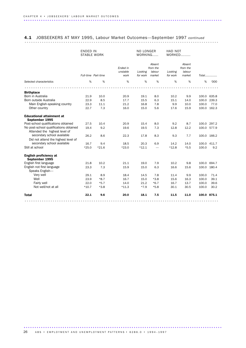### 4.1 JOBSEEKERS AT MAY 1995, Labour Market Outcomes—September 1997 *continued* ..........................................................................................

|                                                    | <b>ENDED IN</b><br><b>STABLE WORK</b> |                     |                              | NO LONGER<br>WORKING |                                        | HAD NOT<br>WORKED   |                                        |       |             |
|----------------------------------------------------|---------------------------------------|---------------------|------------------------------|----------------------|----------------------------------------|---------------------|----------------------------------------|-------|-------------|
|                                                    |                                       | Full-time Part-time | Ended in<br>unstable<br>work | Looking<br>for work  | Absent<br>from the<br>labour<br>market | Looking<br>for work | Absent<br>from the<br>labour<br>market |       | $Total$     |
| Selected characteristics                           | %                                     | %                   | %                            | %                    | %                                      | %                   | %                                      | %     | '000        |
|                                                    |                                       |                     |                              |                      |                                        |                     |                                        |       |             |
| <b>Birthplace</b>                                  |                                       |                     |                              |                      |                                        |                     |                                        |       |             |
| Born in Australia                                  | 21.9                                  | 10.0                | 20.9                         | 19.1                 | 8.0                                    | 10.2                | 9.9                                    |       | 100.0 635.8 |
| Born outside Australia                             | 22.9                                  | 8.5                 | 17.7                         | 15.5                 | 6.3                                    | 15.1                | 14.0                                   | 100.0 | 239.3       |
| Main English-speaking country                      | 23.3                                  | 11.1                | 21.2                         | 16.8                 | 7.8                                    | 9.9                 | 10.0                                   | 100.0 | 77.0        |
| Other country                                      | 22.7                                  | 7.3                 | 16.0                         | 15.0                 | 5.6                                    | 17.6                | 15.9                                   | 100.0 | 162.3       |
| <b>Educational attainment at</b><br>September 1995 |                                       |                     |                              |                      |                                        |                     |                                        |       |             |
| Post-school qualifications obtained                | 27.5                                  | 10.4                | 20.9                         | 15.4                 | 8.0                                    | 9.2                 | 8.7                                    |       | 100.0 297.2 |
| No post-school qualifications obtained             | 19.4                                  | 9.2                 | 19.6                         | 19.5                 | 7.3                                    | 12.8                | 12.2                                   |       | 100.0 577.9 |
| Attended the highest level of                      |                                       |                     |                              |                      |                                        |                     |                                        |       |             |
| secondary school available                         | 26.2                                  | 8.6                 | 22.3                         | 17.8                 | 8.3                                    | 9.3                 | 7.7                                    | 100.0 | 166.2       |
| Did not attend the highest level of                |                                       |                     |                              |                      |                                        |                     |                                        |       |             |
| secondary school available                         | 16.7                                  | 9.4                 | 18.5                         | 20.3                 | 6.9                                    | 14.2                | 14.0                                   | 100.0 | 411.7       |
| Still at school                                    | $*25.0$                               | $*21.6$             | $*23.0$                      | $*12.1$              |                                        | $*12.8$             | $*5.5$                                 | 100.0 | 9.2         |
| English proficiency at<br>September 1995           |                                       |                     |                              |                      |                                        |                     |                                        |       |             |
| English first language                             | 21.8                                  | 10.2                | 21.1                         | 19.0                 | 7.9                                    | 10.2                | 9.8                                    | 100.0 | 694.7       |
| English not first language                         | 23.3                                  | 7.3                 | 15.9                         | 15.0                 | 6.3                                    | 16.6                | 15.6                                   | 100.0 | 180.4       |
| Speaks English-                                    |                                       |                     |                              |                      |                                        |                     |                                        |       |             |
| Very well                                          | 29.1                                  | 8.9                 | 18.4                         | 14.5                 | 7.8                                    | 11.4                | 9.9                                    | 100.0 | 71.4        |
| Well                                               | 23.9                                  | $*8.7$              | 16.7                         | 15.0                 | $*3.8$                                 | 15.6                | 16.3                                   | 100.0 | 39.1        |
| Fairly well                                        | 22.0                                  | $*5.7$              | 14.0                         | 21.2                 | $*6.7$                                 | 16.7                | 13.7                                   | 100.0 | 39.6        |
| Not well/not at all                                | $*10.7$                               | $*3.8$              | $*11.3$                      | $*7.9$               | $*5.8$                                 | 30.1                | 30.5                                   | 100.0 | 30.2        |
| <b>Total</b>                                       | 22.1                                  | 9.6                 | 20.0                         | 18.1                 | 7.5                                    | 11.5                | 11.0                                   |       | 100.0 875.1 |
|                                                    |                                       |                     |                              |                      |                                        |                     |                                        |       |             |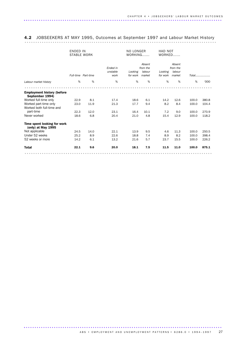# 4.2 JOBSEEKERS AT MAY 1995, Outcomes at September 1997 and Labour Market History .........................................................................................

|                                                      |      | <b>ENDED IN</b><br><b>STABLE WORK</b> |                              |         | NO LONGER<br>WORKING                            |                     | HAD NOT<br>WORKED                      |       |                     |
|------------------------------------------------------|------|---------------------------------------|------------------------------|---------|-------------------------------------------------|---------------------|----------------------------------------|-------|---------------------|
|                                                      |      | Full-time Part-time                   | Ended in<br>unstable<br>work | Looking | Absent<br>from the<br>labour<br>for work market | Looking<br>for work | Absent<br>from the<br>labour<br>market |       | $Total$ <sub></sub> |
| Labour market history                                | %    | %                                     | %                            | %       | %                                               | %                   | %                                      | %     | '000                |
|                                                      |      |                                       |                              |         |                                                 |                     |                                        |       |                     |
| <b>Employment history (before</b><br>September 1994) |      |                                       |                              |         |                                                 |                     |                                        |       |                     |
| Worked full-time only                                | 22.9 | 8.1                                   | 17.4                         | 18.6    | 6.1                                             | 14.2                | 12.6                                   | 100.0 | 380.8               |
| Worked part-time only                                | 23.0 | 11.9                                  | 21.3                         | 17.7    | 9.4                                             | 8.2                 | 8.4                                    | 100.0 | 104.4               |
| Worked both full-time and                            |      |                                       |                              |         |                                                 |                     |                                        |       |                     |
| part-time                                            | 22.3 | 12.0                                  | 23.1                         | 16.4    | 10.1                                            | 7.2                 | 9.0                                    | 100.0 | 270.9               |
| Never worked                                         | 18.6 | 6.8                                   | 20.4                         | 21.0    | 4.8                                             | 15.4                | 12.9                                   | 100.0 | 118.2               |
| Time spent looking for work<br>(only) at May 1995    |      |                                       |                              |         |                                                 |                     |                                        |       |                     |
| Not applicable                                       | 24.5 | 14.0                                  | 22.1                         | 13.9    | 9.5                                             | 4.6                 | 11.3                                   | 100.0 | 250.5               |
| Under 52 weeks                                       | 25.2 | 8.9                                   | 22.6                         | 18.8    | 7.4                                             | 8.9                 | 8.2                                    | 100.0 | 398.4               |
| 52 weeks or more                                     | 14.2 | 6.1                                   | 13.2                         | 21.6    | 5.7                                             | 23.7                | 15.5                                   | 100.0 | 226.2               |
| <b>Total</b>                                         | 22.1 | 9.6                                   | 20.0                         | 18.1    | 7.5                                             | 11.5                | 11.0                                   | 100.0 | 875.1               |
|                                                      |      |                                       |                              |         |                                                 |                     |                                        |       |                     |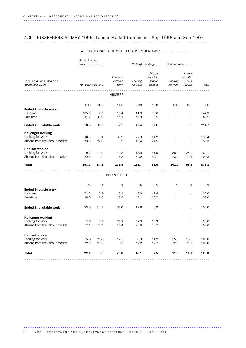# 4.3 JOBSEEKERS AT MAY 1995, Labour Market Outcomes—Sep 1996 and Sep 1997 ......................................................................................

|                               | Ended in stable     |        |            |                   |          |                             |                      |       |
|-------------------------------|---------------------|--------|------------|-------------------|----------|-----------------------------|----------------------|-------|
|                               | work                |        |            | No longer working |          | Had not worked              |                      |       |
|                               |                     |        |            |                   | Absent   |                             | Absent               |       |
|                               |                     |        | Ended in   |                   | from the |                             | from the             |       |
| Labour market outcome at      |                     |        | unstable   | Looking           | labour   | Looking                     | labour               |       |
| September 1996                | Full-time Part-time |        | work       | for work          | market   | for work                    | market               | Total |
|                               |                     |        | .          |                   |          |                             |                      |       |
|                               |                     |        | NUMBER     |                   |          |                             |                      |       |
|                               | '000                | '000   | '000       | '000              | '000     | '000                        | '000                 | '000  |
| <b>Ended in stable work</b>   |                     |        |            |                   |          |                             |                      |       |
| Full-time                     | 105.3               | 7.7    | 19.4       | 11.8              | $*3.6$   | $\ddotsc$                   | $\ddotsc$            | 147.9 |
| Part-time                     | 11.7                | 30.9   | 11.1       | $*3.3$            | 6.5      | $\ddotsc$                   | $\ddot{\phantom{0}}$ | 63.5  |
| Ended in unstable work        | 50.8                | 31.6   | 77.3       | 42.4              | 12.6     | $\ddot{\phantom{0}}$        | $\ddot{\phantom{0}}$ | 214.7 |
| No longer working             |                     |        |            |                   |          |                             |                      |       |
| Looking for work              | 10.5                | 5.1    | 36.2       | 72.3              | 14.2     | $\ddot{\phantom{0}}$        | $\ddot{\phantom{0}}$ | 138.4 |
| Absent from the labour market | $*3.6$              | $*2.6$ | 6.2        | 13.4              | 24.5     | $\ddotsc$                   | $\ddot{\phantom{0}}$ | 50.3  |
| Had not worked                |                     |        |            |                   |          |                             |                      |       |
| Looking for work              | 9.2                 | $*3.0$ | 19.8       | 13.3              | $*1.9$   | 88.0                        | 24.9                 | 160.1 |
| Absent from the labour market | $*2.6$              | $*3.2$ | 5.3        | $*2.2$            | $*2.7$   | 13.0                        | 71.3                 | 100.3 |
| Total                         | 193.7               | 84.1   | 175.4      | 158.7             | 66.0     | 101.0                       | 96.2                 | 875.1 |
|                               |                     |        | PROPORTION |                   |          |                             |                      |       |
|                               |                     |        |            |                   |          |                             |                      |       |
|                               | %                   | %      | %          | %                 | %        | %                           | %                    | %     |
| <b>Ended in stable work</b>   |                     |        |            |                   |          |                             |                      |       |
| Full-time                     | 71.2                | 5.2    | 13.1       | 8.0               | $*2.4$   | $\ddot{\phantom{0}}$        | $\ddotsc$            | 100.0 |
| Part-time                     | 18.5                | 48.6   | 17.6       | $*5.1$            | 10.2     | $\ddot{\phantom{0}}$        | $\ddot{\phantom{0}}$ | 100.0 |
| Ended in unstable work        | 23.6                | 14.7   | 36.0       | 19.8              | 5.9      | $\ddot{\phantom{0}}$        | $\ddot{\phantom{0}}$ | 100.0 |
| No longer working             |                     |        |            |                   |          |                             |                      |       |
| Looking for work              | 7.6                 | 3.7    | 26.2       | 52.3              | 10.3     | $\mathcal{L}^{\mathcal{L}}$ | $\ddot{\phantom{0}}$ | 100.0 |
| Absent from the labour market | $*7.1$              | $*5.3$ | 12.4       | 26.6              | 48.7     | $\ddot{\phantom{0}}$        | $\ddotsc$            | 100.0 |
|                               |                     |        |            |                   |          |                             |                      |       |
| Had not worked                |                     |        |            |                   |          |                             |                      |       |
| Looking for work              | 5.8                 | $*1.8$ | 12.3       | 8.3               | $*1.2$   | 55.0                        | 15.6                 | 100.0 |
| Absent from the labour market | $*2.6$              | $*3.2$ | 5.3        | $*2.2$            | $*2.7$   | 12.9                        | 71.1                 | 100.0 |
| <b>Total</b>                  | 22.1                | 9.6    | 20.0       | 18.1              | 7.5      | 11.5                        | 11.0                 | 100.0 |
|                               |                     |        |            |                   |          |                             |                      |       |

### LABOUR MARKET OUTCOME AT SEPTEMBER 1997.........................

28 ABS • EMPLOYMENT AND UNEMPLOYMENT PATTERNS • 6286.0 • 1994-1997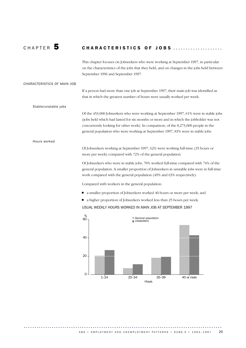### CHAPTER 5 CHARACTERISTICS OF JOBS .....................

This chapter focuses on Jobseekers who were working at September 1997, in particular on the characteristics of the jobs that they held, and on changes in the jobs held between September 1996 and September 1997.

### CHARACTERISTICS OF MAIN JOB

If a person had more than one job at September 1997, their main job was identified as that in which the greatest number of hours were usually worked per week.

Stable/unstable jobs

Of the 453,000 Jobseekers who were working at September 1997, 61% were in stable jobs (jobs held which had lasted for six months or more and in which the jobholder was not concurrently looking for other work). In comparison, of the 8,273,000 people in the general population who were working at September 1997, 83% were in stable jobs.

### Hours worked

Of Jobseekers working at September 1997, 62% were working full-time (35 hours or more per week) compared with 72% of the general population.

Of Jobseekers who were in stable jobs, 70% worked full-time compared with 74% of the general population. A smaller proportion of Jobseekers in unstable jobs were in full-time work compared with the general population (49% and 63% respectively).

Compared with workers in the general population:

- a smaller proportion of Jobseekers worked 40 hours or more per week; and
- a higher proportion of Jobseekers worked less than 25 hours per week.

USUAL WEEKLY HOURS WORKED IN MAIN JOB AT SEPTEMBER 1997

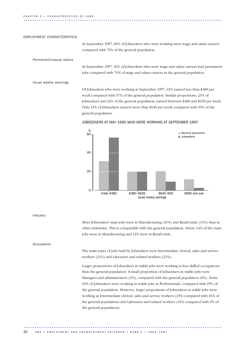#### EMPLOYMENT CHARACTERISTICS

At September 1997, 86% of Jobseekers who were working were wage and salary earners compared with 79% of the general population.

Permanent/casual status

At September 1997, 56% of Jobseekers who were wage and salary earners had permanent jobs compared with 76% of wage and salary earners in the general population.

Usual weekly earnings

Of Jobseekers who were working at September 1997, 63% earned less than \$480 per week compared with 37% of the general population. Similar proportions, 23% of Jobseekers and 24% of the general population, earned between \$480 and \$639 per week. Only 13% of Jobseekers earned more than \$640 per week compared with 39% of the general population.



JOBSEEKERS AT MAY 1995 WHO WERE WORKING AT SEPTEMBER 1997

Industry

More Jobseekers' main jobs were in Manufacturing (16%) and Retail trade (14%) than in other industries. This is comparable with the general population, where 14% of the main jobs were in Manufacturing and 13% were in Retail trade.

Occupation

The main types of jobs held by Jobseekers were Intermediate clerical, sales and service workers (21%) and Labourers and related workers (21%).

Larger proportions of Jobseekers in stable jobs were working in less skilled occupations than the general population. A small proportion of Jobseekers in stable jobs were Managers and administrators (3%), compared with the general population (8%). Some 10% of Jobseekers were working in stable jobs as Professionals, compared with 19% of the general population. However, larger proportions of Jobseekers in stable jobs were working as Intermediate clerical, sales and service workers (23% compared with 16% of the general population) and Labourers and related workers (16% compared with 9% of the general population).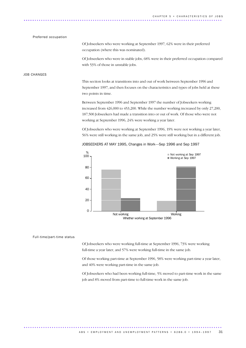### Preferred occupation

Of Jobseekers who were working at September 1997, 62% were in their preferred occupation (where this was nominated).

Of Jobseekers who were in stable jobs, 68% were in their preferred occupation compared with 53% of those in unstable jobs.

### JOB CHANGES

This section looks at transitions into and out of work between September 1996 and September 1997, and then focuses on the characteristics and types of jobs held at these two points in time.

Between September 1996 and September 1997 the number of Jobseekers working increased from 426,000 to 453,200. While the number working increased by only 27,200, 187,500 Jobseekers had made a transition into or out of work. Of those who were not working at September 1996, 24% were working a year later.

Of Jobseekers who were working at September 1996, 19% were not working a year later, 56% were still working in the same job, and 25% were still working but in a different job.





### Full-time/part-time status

Of Jobseekers who were working full-time at September 1996, 73% were working full-time a year later, and 57% were working full-time in the same job.

Of those working part-time at September 1996, 58% were working part-time a year later, and 40% were working part-time in the same job.

Of Jobseekers who had been working full-time, 5% moved to part-time work in the same job and 8% moved from part-time to full-time work in the same job.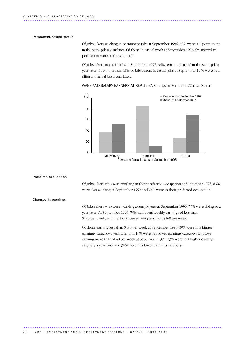### Permanent/casual status

Of Jobseekers working in permanent jobs at September 1996, 60% were still permanent in the same job a year later. Of those in casual work at September 1996, 9% moved to permanent work in the same job.

Of Jobseekers in casual jobs at September 1996, 34% remained casual in the same job a year later. In comparison, 18% of Jobseekers in casual jobs at September 1996 were in a different casual job a year later.

WAGE AND SALARY EARNERS AT SEP 1997, Change in Permanent/Casual Status



Preferred occupation

Of Jobseekers who were working in their preferred occupation at September 1996, 83% were also working at September 1997 and 75% were in their preferred occupation.

Changes in earnings

Of Jobseekers who were working as employees at September 1996, 79% were doing so a year later. At September 1996, 75% had usual weekly earnings of less than \$480 per week, with 18% of those earning less than \$160 per week.

Of those earning less than \$480 per week at September 1996, 39% were in a higher earnings category a year later and 10% were in a lower earnings category. Of those earning more than \$640 per week at September 1996, 23% were in a higher earnings category a year later and 36% were in a lower earnings category.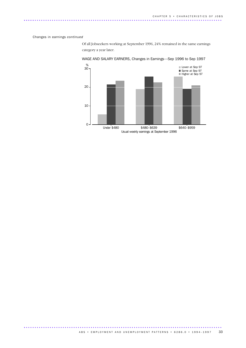### Changes in earnings *continued*

Of all Jobseekers working at September 1996, 24% remained in the same earnings category a year later.



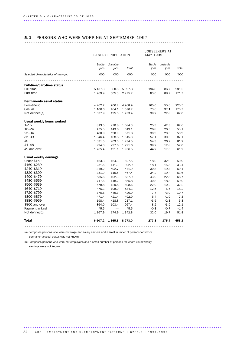# 5.1 PERSONS WHO WERE WORKING AT SEPTEMBER 1997 ..........................................................................

|                                      | <b>GENERAL POPULATION</b> |           |             |               | JOBSEEKERS AT<br>MAY 1995 |        |  |
|--------------------------------------|---------------------------|-----------|-------------|---------------|---------------------------|--------|--|
|                                      | <b>Stable</b>             | Unstable  |             | <b>Stable</b> | Unstable                  |        |  |
|                                      | jobs                      | jobs      | Total       | jobs          | jobs                      | Total  |  |
| Selected characteristics of main job | '000                      | '000      | '000        | '000          | '000                      | '000   |  |
|                                      |                           |           |             |               |                           |        |  |
| <b>Full-time/part-time status</b>    |                           |           |             |               |                           |        |  |
| Full-time                            | 5 137.3                   | 860.5     | 5 9 9 7.8   | 194.8         | 86.7                      | 281.5  |  |
| Part-time                            | 1769.9                    | 505.3     | 2 2 7 5 . 2 | 83.0          | 88.7                      | 171.7  |  |
| <b>Permanent/casual status</b>       |                           |           |             |               |                           |        |  |
| Permanent                            | 4 2 6 2.7                 | 706.2     | 4 9 68.9    | 165.0         | 55.6                      | 220.5  |  |
| Casual                               | 1 106.6                   | 464.1     | 1570.7      | 73.6          | 97.1                      | 170.7  |  |
| Not defined(a)                       | 1 537.9                   | 195.5     | 1 7 3 3.4   | 39.2          | 22.8                      | 62.0   |  |
| <b>Usual weekly hours worked</b>     |                           |           |             |               |                           |        |  |
| $1 - 15$                             | 813.5                     | 270.8     | 1 0 8 4 . 3 | 25.3          | 42.3                      | 67.6   |  |
| $16 - 24$                            | 475.5                     | 143.6     | 619.1       | 26.8          | 26.3                      | 53.1   |  |
| $25 - 34$                            | 480.9                     | $*90.9$   | 571.8       | 30.9          | 20.0                      | 50.9   |  |
| $35 - 39$                            | 1 3 4 6.4                 | 168.8     | 1 515.3     | 57.1          | 30.0                      | 87.1   |  |
| 40                                   | 1 0 3 1.5                 | 203.0     | 1 2 3 4 .5  | 54.3          | 26.9                      | 81.2   |  |
| $41 - 48$                            | 994.0                     | 297.6     | 1 291.6     | 39.2          | 12.8                      | 52.0   |  |
| 49 and over                          | 1 7 6 5.4                 | 191.1     | 1956.5      | 44.2          | 17.0                      | 61.2   |  |
| Usual weekly earnings                |                           |           |             |               |                           |        |  |
| <b>Under \$160</b>                   | 463.3                     | 164.3     | 627.5       | 18.0          | 32.9                      | 50.9   |  |
| \$160-\$239                          | 251.6                     | 141.3     | 392.9       | 18.1          | 15.3                      | 33.4   |  |
| \$240-\$319                          | 349.2                     | $*92.7$   | 441.9       | 30.8          | 19.3                      | 50.1   |  |
| \$320–\$399                          | 351.9                     | 115.5     | 467.4       | 34.2          | 19.4                      | 53.6   |  |
| \$400–\$479                          | 535.6                     | 102.3     | 637.9       | 43.9          | 22.8                      | 66.7   |  |
| \$480-\$559                          | 717.6                     | 148.2     | 865.8       | 40.8          | 18.3                      | 59.0   |  |
| \$560-\$639                          | 678.8                     | 129.8     | 808.6       | 22.0          | 10.2                      | 32.2   |  |
| \$640-\$719                          | 476.3                     | 108.0     | 584.3       | 12.5          | 5.6                       | 18.2   |  |
| \$720–\$799                          | 375.6                     | $*45.3$   | 420.9       | 7.7           | $*3.0$                    | 10.7   |  |
| \$800-\$879                          | 471.4                     | $*21.4$   | 492.9       | 5.4           | $*1.9$                    | 7.3    |  |
| \$880-\$959                          | 198.4                     | $*18.8$   | 217.1       | $*3.5$        | $*2.3$                    | 5.8    |  |
| \$960 and over                       | 864.0                     | 103.4     | 967.4       | 8.2           | $*3.9$                    | 12.1   |  |
| Payment in kind                      | $*5.5$                    |           | $*5.5$      | $*0.8$        | $*0.7$                    | $*1.4$ |  |
| Not defined(b)                       | 1 1 6 7 .9                | 174.9     | 1 3 4 2.8   | 32.0          | 19.7                      | 51.8   |  |
| <b>Total</b>                         | 6907.2                    | 1 3 6 5.8 | 8 2 7 3 .0  | 277.8         | 175.4                     | 453.2  |  |
|                                      |                           |           |             |               |                           |        |  |

(a) Comprises persons who were not wage and salary earners and a small number of persons for whom permanent/casual status was not known.

(b) Comprises persons who were not employees and a small number of persons for whom usual weekly earnings were not known.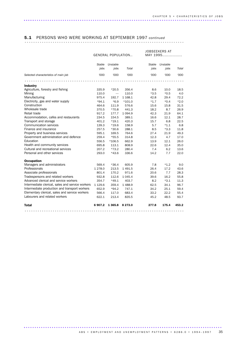# 5.1 PERSONS WHO WERE WORKING AT SEPTEMBER 1997 *continued* ..........................................................................

|                                                  | JOBSEEKERS AT<br>MAY 1995<br><b>GENERAL POPULATION</b> |                          |            |               |          |        |
|--------------------------------------------------|--------------------------------------------------------|--------------------------|------------|---------------|----------|--------|
|                                                  | Stable                                                 | Unstable                 |            | <b>Stable</b> | Unstable |        |
|                                                  | jobs                                                   | jobs                     | Total      | jobs          | jobs     | Total  |
| Selected characteristics of main job             | '000                                                   | '000                     | '000       | '000          | '000     | '000   |
|                                                  |                                                        |                          |            |               |          |        |
| <b>Industry</b>                                  |                                                        |                          |            |               |          |        |
| Agriculture, forestry and fishing                | 335.9                                                  | $*20.5$                  | 356.4      | 8.6           | 10.0     | 18.5   |
| Mining                                           | 110.0                                                  | $\overline{\phantom{0}}$ | 110.0      | $*3.5$        | $*0.5$   | 4.0    |
| Manufacturing                                    | 975.4                                                  | 192.7                    | 1 1 68.1   | 42.8          | 29.4     | 72.2   |
| Electricity, gas and water supply                | $*94.1$                                                | $*6.9$                   | $*101.0$   | $*1.7$        | $*0.4$   | $*2.0$ |
| Construction                                     | 464.6                                                  | 111.9                    | 576.6      | 15.6          | 15.8     | 31.5   |
| Wholesale trade                                  | 370.5                                                  | $*70.8$                  | 441.3      | 18.2          | 8.7      | 26.9   |
| Retail trade                                     | 917.2                                                  | 177.7                    | 1 0 9 4.9  | 42.3          | 21.9     | 64.1   |
| Accommodation, cafes and restaurants             | 234.5                                                  | 154.5                    | 389.1      | 16.6          | 12.1     | 28.7   |
| Transport and storage                            | 401.2                                                  | $*19.1$                  | 420.3      | 15.7          | 6.8      | 22.5   |
| Communication services                           | 139.3                                                  | $*19.6$                  | 158.9      | 5.7           | $*1.1$   | 6.8    |
| Finance and insurance                            | 257.5                                                  | $*30.6$                  | 288.1      | 8.5           | $*3.3$   | 11.8   |
| Property and business services                   | 595.1                                                  | 169.5                    | 764.6      | 27.4          | 21.9     | 49.3   |
| Government administration and defence            | 259.4                                                  | $*55.5$                  | 314.8      | 12.3          | 4.7      | 17.0   |
| Education                                        | 556.5                                                  | *106.5                   | 662.9      | 13.9          | 12.1     | 26.0   |
| Health and community services                    | 695.8                                                  | 113.1                    | 808.9      | 22.6          | 12.4     | 35.0   |
| Cultural and recreational services               | 207.2                                                  | $*73.2$                  | 280.4      | 7.4           | 6.2      | 13.6   |
| Personal and other services                      | 293.0                                                  | $*43.6$                  | 336.6      | 14.2          | 7.7      | 22.0   |
| <b>Occupation</b>                                |                                                        |                          |            |               |          |        |
| Managers and administrators                      | 569.4                                                  | $*36.4$                  | 605.9      | 7.8           | $*1.2$   | 9.0    |
| Professionals                                    | 1 278.0                                                | 213.5                    | 1 4 9 1.5  | 26.4          | 17.2     | 43.6   |
| Associate professionals                          | 801.4                                                  | 170.2                    | 971.6      | 20.6          | 7.7      | 28.3   |
| Tradespersons and related workers                | 932.8                                                  | 112.6                    | 1 0 4 5.4  | 39.6          | 16.2     | 55.8   |
| Advanced clerical and service workers            | 354.7                                                  | $*49.1$                  | 403.7      | 8.2           | $*3.1$   | 11.3   |
| Intermediate clerical, sales and service workers | 1 1 2 9.6                                              | 359.4                    | 1488.9     | 62.5          | 34.1     | 96.7   |
| Intermediate production and transport workers    | 652.9                                                  | $*94.2$                  | 747.1      | 34.2          | 25.1     | 59.4   |
| Elementary clerical, sales and service workers   | 566.4                                                  | 117.0                    | 683.4      | 33.2          | 22.2     | 55.4   |
| Labourers and related workers                    | 622.1                                                  | 213.4                    | 835.5      | 45.2          | 48.5     | 93.7   |
| <b>Total</b>                                     | 6907.2                                                 | 1 3 6 5 . 8              | 8 2 7 3 .0 | 277.8         | 175.4    | 453.2  |
|                                                  |                                                        |                          |            |               |          |        |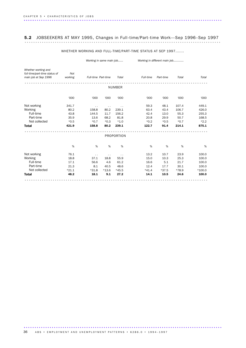## 5.2 JOBSEEKERS AT MAY 1995, Changes in Full-time/Part-time Work—Sep 1996–Sep 1997 ...........................................................................................

### WHETHER WORKING AND FULL-TIME/PART-TIME STATUS AT SEP 1997.......

*Working in same main job...... Working in different main job............*

| Whether working and<br>full-time/part-time status of<br>main job at Sep 1996 | Not<br>working | Full-time Part-time  |                      | Total                | Full-time | Part-time | Total  | Total    |  |  |  |  |
|------------------------------------------------------------------------------|----------------|----------------------|----------------------|----------------------|-----------|-----------|--------|----------|--|--|--|--|
|                                                                              |                |                      |                      |                      |           |           |        |          |  |  |  |  |
| <b>NUMBER</b>                                                                |                |                      |                      |                      |           |           |        |          |  |  |  |  |
|                                                                              |                |                      |                      |                      |           |           |        |          |  |  |  |  |
|                                                                              | '000           | '000                 | '000                 | '000                 | '000      | '000      | '000   | '000     |  |  |  |  |
| Not working                                                                  | 341.7          | $\ddot{\phantom{0}}$ | $\sim$ $\sim$        |                      | 59.3      | 48.1      | 107.4  | 449.1    |  |  |  |  |
| Working                                                                      | 80.2           | 158.8                | 80.2                 | 239.1                | 63.4      | 43.4      | 106.7  | 426.0    |  |  |  |  |
| Full-time                                                                    | 43.8           | 144.5                | 11.7                 | 156.2                | 42.4      | 13.0      | 55.3   | 255.3    |  |  |  |  |
| Part-time                                                                    | 35.9           | 13.6                 | 68.2                 | 81.8                 | 20.8      | 29.9      | 50.7   | 168.5    |  |  |  |  |
| Not collected                                                                | $*0.5$         | $*0.7$               | $*0.3$               | $*1.0$               | $*0.2$    | $*0.5$    | $*0.7$ | $*2.2$   |  |  |  |  |
| <b>Total</b>                                                                 | 421.9          | 158.8                | 80.2                 | 239.1                | 122.7     | 91.4      | 214.1  | 875.1    |  |  |  |  |
|                                                                              |                |                      |                      |                      |           |           |        |          |  |  |  |  |
|                                                                              |                |                      |                      | <b>PROPORTION</b>    |           |           |        |          |  |  |  |  |
|                                                                              | $\%$           | %                    | %                    | %                    | %         | %         | %      | %        |  |  |  |  |
| Not working                                                                  | 76.1           | $\ddot{\phantom{1}}$ | $\ddot{\phantom{1}}$ | $\ddot{\phantom{1}}$ | 13.2      | 10.7      | 23.9   | 100.0    |  |  |  |  |
| Working                                                                      | 18.8           | 37.1                 | 18.8                 | 55.9                 | 15.0      | 10.3      | 25.3   | 100.0    |  |  |  |  |
| Full-time                                                                    | 17.1           | 56.6                 | 4.6                  | 61.2                 | 16.6      | 5.1       | 21.7   | 100.0    |  |  |  |  |
| Part-time                                                                    | 21.3           | 8.1                  | 40.5                 | 48.6                 | 12.4      | 17.7      | 30.1   | 100.0    |  |  |  |  |
| Not collected                                                                | $*21.1$        | $*31.8$              | $*13.6$              | $*45.5$              | $*41.4$   | $*37.5$   | *78.9  | $*100.0$ |  |  |  |  |
| <b>Total</b>                                                                 | 48.2           | 18.1                 | 9.1                  | 27.2                 | 14.1      | 10.5      | 24.6   | 100.0    |  |  |  |  |
|                                                                              |                |                      |                      |                      |           |           |        |          |  |  |  |  |

### 36 ABS • EMPLOYMENT AND UNEMPLOYMENT PATTERNS • 6286.0 • 1994-1997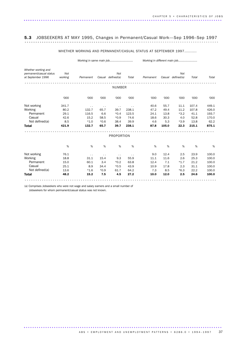## 5.3 JOBSEEKERS AT MAY 1995, Changes in Permanent/Casual Work—Sep 1996–Sep 1997 .......................................................................................... ..................................................

### WHETHER WORKING AND PERMANENT/CASUAL STATUS AT SEPTEMBER 1997..........

|                                                |         | Working in same main job |                      |                      |                      | Working in different main job |        |            |       |       |
|------------------------------------------------|---------|--------------------------|----------------------|----------------------|----------------------|-------------------------------|--------|------------|-------|-------|
| Whether working and<br>permanent/casual status | Not     |                          |                      | Not                  |                      |                               |        | Not        |       |       |
| at September 1996                              | working | Permanent                | Casual               | defined(a)           | Total                | Permanent                     | Casual | defined(a) | Total | Total |
|                                                |         |                          |                      | <b>NUMBER</b>        |                      |                               |        |            |       |       |
|                                                | '000    | '000                     | '000                 | '000                 | '000                 | '000                          | '000   | '000       | '000  | '000  |
| Not working                                    | 341.7   | $\ddot{\phantom{1}}$     | $\ddot{\phantom{0}}$ | $\ddot{\phantom{1}}$ | $\ddot{\phantom{0}}$ | 40.6                          | 55.7   | 11.1       | 107.4 | 449.1 |
| Working                                        | 80.2    | 132.7                    | 65.7                 | 39.7                 | 238.1                | 47.2                          | 49.4   | 11.2       | 107.8 | 426.0 |
| Permanent                                      | 29.1    | 116.5                    | 6.6                  | $*0.4$               | 123.5                | 24.1                          | 13.8   | $*3.2$     | 41.1  | 193.7 |
| Casual                                         | 42.6    | 15.2                     | 58.5                 | $*0.9$               | 74.6                 | 18.6                          | 30.3   | 4.0        | 52.8  | 170.0 |
| Not defined(a)                                 | 8.5     | $*1.0$                   | $*0.6$               | 38.4                 | 39.9                 | 4.6                           | 5.3    | $*3.9$     | 13.8  | 62.2  |
| <b>Total</b>                                   | 421.9   | 132.7                    | 65.7                 | 39.7                 | 238.1                | 87.8                          | 105.0  | 22.3       | 215.1 | 875.1 |
|                                                |         |                          |                      | PROPORTION           |                      |                               |        |            |       |       |
|                                                | %       | $\%$                     | $\%$                 | %                    | $\%$                 | %                             | %      | %          | %     | %     |
| Not working                                    | 76.1    | $\sim$                   | $\ddot{\phantom{0}}$ | $\sim$               | $\sim$ $\sim$        | 9.0                           | 12.4   | 2.5        | 23.9  | 100.0 |
| Working                                        | 18.8    | 31.1                     | 15.4                 | 9.3                  | 55.9                 | 11.1                          | 11.6   | 2.6        | 25.3  | 100.0 |
| Permanent                                      | 15.0    | 60.1                     | 3.4                  | $*0.2$               | 63.8                 | 12.4                          | 7.1    | $*1.7$     | 21.2  | 100.0 |
| Casual                                         | 25.1    | 8.9                      | 34.4                 | $*0.5$               | 43.9                 | 10.9                          | 17.8   | 2.3        | 31.1  | 100.0 |
| Not defined(a)                                 | 13.6    | $*1.6$                   | $*0.9$               | 61.7                 | 64.2                 | 7.3                           | 8.5    | $*6.3$     | 22.2  | 100.0 |
| <b>Total</b>                                   | 48.2    | 15.2                     | 7.5                  | 4.5                  | 27.2                 | 10.0                          | 12.0   | 2.5        | 24.6  | 100.0 |

(a) Comprises Jobseekers who were not wage and salary earners and a small number of

Jobseekers for whom permanent/casual status was not known.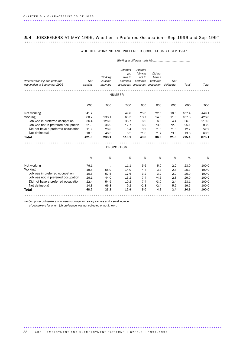## 5.4 JOBSEEKERS AT MAY 1995, Whether in Preferred Occupation—Sep 1996 and Sep 1997 ........................................................................................... ..

### WHETHER WORKING AND PREFERRED OCCUPATION AT SEP 1997..

| Whether working and preferred<br>occupation at September 1996 | Not<br>working | Working<br>in same<br>main job | <b>Different</b><br>job<br>was in<br>preferred | Different<br>job was<br>not in<br>preferred | Did not<br>have a<br>preferred<br>occupation occupation occupation defined(a) | Not    | Total | Total |
|---------------------------------------------------------------|----------------|--------------------------------|------------------------------------------------|---------------------------------------------|-------------------------------------------------------------------------------|--------|-------|-------|
|                                                               |                |                                | NUMBER                                         |                                             |                                                                               |        |       |       |
|                                                               | '000           | '000                           | '000                                           | '000                                        | '000                                                                          | '000   | '000  | '000  |
| Not working                                                   | 341.7          | $\ddot{\phantom{0}}$           | 49.8                                           | 25.0                                        | 22.5                                                                          | 10.0   | 107.4 | 449.1 |
| Working                                                       | 80.2           | 238.1                          | 63.3                                           | 18.7                                        | 14.0                                                                          | 11.8   | 107.8 | 426.0 |
| Job was in preferred occupation                               | 36.4           | 126.0                          | 38.7                                           | 6.9                                         | 6.9                                                                           | 4.4    | 56.9  | 219.3 |
| Job was not in preferred occupation                           | 21.9           | 36.9                           | 12.7                                           | 6.2                                         | $*3.8$                                                                        | $*2.3$ | 25.1  | 83.9  |
| Did not have a preferred occupation                           | 11.9           | 28.8                           | 5.4                                            | 3.9                                         | $*1.6$                                                                        | $*1.3$ | 12.2  | 52.9  |
| Not defined(a)                                                | 10.0           | 46.3                           | 6.5                                            | $*1.6$                                      | $*1.7$                                                                        | $*3.8$ | 13.6  | 69.9  |
| <b>Total</b>                                                  | 421.9          | 238.1                          | 113.1                                          | 43.8                                        | 36.5                                                                          | 21.8   | 215.1 | 875.1 |
|                                                               |                |                                | <b>PROPORTION</b>                              |                                             |                                                                               |        |       |       |
|                                                               |                |                                |                                                |                                             |                                                                               |        |       |       |
|                                                               | %              | %                              | %                                              | %                                           | %                                                                             | %      | %     | %     |
| Not working                                                   | 76.1           | . .                            | 11.1                                           | 5.6                                         | 5.0                                                                           | 2.2    | 23.9  | 100.0 |
| Working                                                       | 18.8           | 55.9                           | 14.9                                           | 4.4                                         | 3.3                                                                           | 2.8    | 25.3  | 100.0 |
| Job was in preferred occupation                               | 16.6           | 57.5                           | 17.6                                           | 3.2                                         | 3.2                                                                           | 2.0    | 25.9  | 100.0 |
| Job was not in preferred occupation                           | 26.1           | 44.0                           | 15.2                                           | 7.4                                         | $*4.5$                                                                        | 2.8    | 29.9  | 100.0 |
| Did not have a preferred occupation                           | 22.4           | 54.5                           | 10.2                                           | 7.4                                         | $*3.0$                                                                        | 2.4    | 23.1  | 100.0 |
| Not defined(a)                                                | 14.3           | 66.3                           | 9.2                                            | $*2.3$                                      | $*2.4$                                                                        | 5.5    | 19.5  | 100.0 |
| <b>Total</b>                                                  | 48.2           | 27.2                           | 12.9                                           | 5.0                                         | 4.2                                                                           | 2.4    | 24.6  | 100.0 |
|                                                               |                |                                |                                                |                                             |                                                                               |        |       |       |

(a) Comprises Jobseekers who were not wage and salary earners and a small number of Jobseekers for whom job preference was not collected or not known.

............................................................................................ . ABS • EMPLOYMENT AND UNEMPLOYMENT PATTERNS • 6286.0 • 1994-1997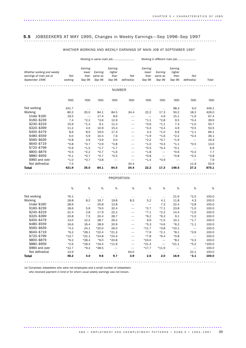# 5.5 JOBSEEKERS AT MAY 1995, Changes in Weekly Earnings—Sep 1996–Sep 1997 .........................................................................................

### WHETHER WORKING AND WEEKLY EARNINGS OF MAIN JOB AT SEPTEMBER 1997

| Earning<br>Earning<br>Earning<br>Earning<br>Whether working and weekly<br>lower<br>higher<br>lower<br>higher<br>Earning<br>Earning<br>earnings of main job at<br>than<br>than<br>Not<br>than<br>than<br>Not<br>same as<br>Not<br>same as<br>September 1996<br>working<br>Sep 96<br>Sep 96<br>Sep 96<br>Sep 96<br>Sep 96<br>defined(a)<br>Sep 96<br>defined(a)<br>NUMBER<br>'000<br>'000<br>'000<br>'000<br>'000<br>'000<br>'000<br>'000<br>'000<br>Not working<br>98.3<br>341.7<br>9.0<br>$\sim$ $\sim$<br>$\ddotsc$<br>$\ddotsc$<br>$\ddotsc$<br>$\sim$ $\sim$<br>$\ddot{\phantom{0}}$<br>Working<br>80.2<br>35.0<br>84.5<br>34.4<br>22.2<br>50.2<br>18.2<br>84.1<br>17.3<br><b>Under \$160</b><br>19.5<br>15.1<br>$*1.9$<br>17.4<br>8.6<br>4.9<br>\$160-\$239<br>7.4<br>$*2.2$<br>$*3.6$<br>12.9<br>$*1.1$<br>$*2.8$<br>9.5<br>$*0.4$<br>\$240-\$319<br>15.9<br>7.3<br>$*1.4$<br>9.1<br>11.3<br>$*3.6$<br>$*1.1$<br>$*1.0$<br>$\overline{\phantom{0}}$<br>\$320-\$399<br>11.2<br>4.0<br>15.4<br>$*3.3$<br>$*3.4$<br>4.9<br>$*0.5$<br>10.9<br>$\overline{\phantom{0}}$<br>\$400-\$479<br>8.6<br>8.0<br>19.0<br>17.3<br>4.4<br>$*1.0$<br>6.6<br>$*1.1$<br>$\overline{\phantom{0}}$<br>\$480-\$559<br>6.0<br>5.9<br>7.6<br>$*1.9$<br>$*1.6$<br>$*2.2$<br>$*0.4$<br>10.4<br>$\overline{\phantom{0}}$<br>\$560-\$639<br>$*0.8$<br>4.6<br>$*3.9$<br>5.0<br>$*2.2$<br>$*0.7$<br>$*1.9$<br>$\overline{\phantom{m}}$<br>\$640-\$719<br>$*1.1$<br>$*0.8$<br>$*3.7$<br>$*2.8$<br>$*2.9$<br>$*1.0$<br>$*0.3$<br>$*0.5$<br>$\overline{\phantom{0}}$<br>\$720-\$799<br>$*1.7$<br>$*1.5$<br>$*0.1$<br>$*0.9$<br>$*1.7$<br>$*0.5$<br>$*0.4$<br>\$800-\$879<br>$*0.5$<br>$*2.2$<br>$*1.6$<br>$*0.6$<br>$*0.3$<br>$*0.7$<br>$*1.8$<br>$\overline{\phantom{m}}$<br>$\overline{\phantom{0}}$<br>\$880-\$959<br>$*0.1$<br>$*0.7$<br>$*0.7$<br>$*0.5$<br>$*0.8$<br>$*0.8$<br>$*0.2$<br>$\overline{\phantom{0}}$<br>\$960 and over<br>$*1.0$<br>$*0.7$<br>$*3.8$<br>$*1.4$<br>$*0.9$<br>$\overline{\phantom{0}}$<br>$\overline{\phantom{0}}$<br>$\overbrace{\phantom{1232211}}$<br>Not defined(a)<br>7.5<br>34.4<br>11.9<br>$\sim$ $\sim$<br>$\sim$<br>$\ddotsc$<br>$\sim$<br>$\sim$ $\sim$<br>$\sim$ $\sim$<br>421.9<br>84.5<br>34.4<br>27.2<br><b>Total</b><br>35.0<br>84.1<br>22.2<br>17.3<br>148.5 | Total<br>'000<br>449.1<br>426.0<br>67.4<br>39.9<br>50.7<br>53.5<br>66.1<br>36.1<br>19.3<br>13.0<br>6.9<br>7.7<br>$*3.8$<br>7.9 |
|-----------------------------------------------------------------------------------------------------------------------------------------------------------------------------------------------------------------------------------------------------------------------------------------------------------------------------------------------------------------------------------------------------------------------------------------------------------------------------------------------------------------------------------------------------------------------------------------------------------------------------------------------------------------------------------------------------------------------------------------------------------------------------------------------------------------------------------------------------------------------------------------------------------------------------------------------------------------------------------------------------------------------------------------------------------------------------------------------------------------------------------------------------------------------------------------------------------------------------------------------------------------------------------------------------------------------------------------------------------------------------------------------------------------------------------------------------------------------------------------------------------------------------------------------------------------------------------------------------------------------------------------------------------------------------------------------------------------------------------------------------------------------------------------------------------------------------------------------------------------------------------------------------------------------------------------------------------------------------------------------------------------------------------------------------------------------------------------------------------------------------------------------------------------------------------------------------------------------------------------------------------------------------------|--------------------------------------------------------------------------------------------------------------------------------|
|                                                                                                                                                                                                                                                                                                                                                                                                                                                                                                                                                                                                                                                                                                                                                                                                                                                                                                                                                                                                                                                                                                                                                                                                                                                                                                                                                                                                                                                                                                                                                                                                                                                                                                                                                                                                                                                                                                                                                                                                                                                                                                                                                                                                                                                                                   |                                                                                                                                |
|                                                                                                                                                                                                                                                                                                                                                                                                                                                                                                                                                                                                                                                                                                                                                                                                                                                                                                                                                                                                                                                                                                                                                                                                                                                                                                                                                                                                                                                                                                                                                                                                                                                                                                                                                                                                                                                                                                                                                                                                                                                                                                                                                                                                                                                                                   |                                                                                                                                |
|                                                                                                                                                                                                                                                                                                                                                                                                                                                                                                                                                                                                                                                                                                                                                                                                                                                                                                                                                                                                                                                                                                                                                                                                                                                                                                                                                                                                                                                                                                                                                                                                                                                                                                                                                                                                                                                                                                                                                                                                                                                                                                                                                                                                                                                                                   |                                                                                                                                |
|                                                                                                                                                                                                                                                                                                                                                                                                                                                                                                                                                                                                                                                                                                                                                                                                                                                                                                                                                                                                                                                                                                                                                                                                                                                                                                                                                                                                                                                                                                                                                                                                                                                                                                                                                                                                                                                                                                                                                                                                                                                                                                                                                                                                                                                                                   |                                                                                                                                |
|                                                                                                                                                                                                                                                                                                                                                                                                                                                                                                                                                                                                                                                                                                                                                                                                                                                                                                                                                                                                                                                                                                                                                                                                                                                                                                                                                                                                                                                                                                                                                                                                                                                                                                                                                                                                                                                                                                                                                                                                                                                                                                                                                                                                                                                                                   |                                                                                                                                |
|                                                                                                                                                                                                                                                                                                                                                                                                                                                                                                                                                                                                                                                                                                                                                                                                                                                                                                                                                                                                                                                                                                                                                                                                                                                                                                                                                                                                                                                                                                                                                                                                                                                                                                                                                                                                                                                                                                                                                                                                                                                                                                                                                                                                                                                                                   |                                                                                                                                |
|                                                                                                                                                                                                                                                                                                                                                                                                                                                                                                                                                                                                                                                                                                                                                                                                                                                                                                                                                                                                                                                                                                                                                                                                                                                                                                                                                                                                                                                                                                                                                                                                                                                                                                                                                                                                                                                                                                                                                                                                                                                                                                                                                                                                                                                                                   |                                                                                                                                |
|                                                                                                                                                                                                                                                                                                                                                                                                                                                                                                                                                                                                                                                                                                                                                                                                                                                                                                                                                                                                                                                                                                                                                                                                                                                                                                                                                                                                                                                                                                                                                                                                                                                                                                                                                                                                                                                                                                                                                                                                                                                                                                                                                                                                                                                                                   |                                                                                                                                |
|                                                                                                                                                                                                                                                                                                                                                                                                                                                                                                                                                                                                                                                                                                                                                                                                                                                                                                                                                                                                                                                                                                                                                                                                                                                                                                                                                                                                                                                                                                                                                                                                                                                                                                                                                                                                                                                                                                                                                                                                                                                                                                                                                                                                                                                                                   |                                                                                                                                |
|                                                                                                                                                                                                                                                                                                                                                                                                                                                                                                                                                                                                                                                                                                                                                                                                                                                                                                                                                                                                                                                                                                                                                                                                                                                                                                                                                                                                                                                                                                                                                                                                                                                                                                                                                                                                                                                                                                                                                                                                                                                                                                                                                                                                                                                                                   |                                                                                                                                |
|                                                                                                                                                                                                                                                                                                                                                                                                                                                                                                                                                                                                                                                                                                                                                                                                                                                                                                                                                                                                                                                                                                                                                                                                                                                                                                                                                                                                                                                                                                                                                                                                                                                                                                                                                                                                                                                                                                                                                                                                                                                                                                                                                                                                                                                                                   |                                                                                                                                |
|                                                                                                                                                                                                                                                                                                                                                                                                                                                                                                                                                                                                                                                                                                                                                                                                                                                                                                                                                                                                                                                                                                                                                                                                                                                                                                                                                                                                                                                                                                                                                                                                                                                                                                                                                                                                                                                                                                                                                                                                                                                                                                                                                                                                                                                                                   |                                                                                                                                |
|                                                                                                                                                                                                                                                                                                                                                                                                                                                                                                                                                                                                                                                                                                                                                                                                                                                                                                                                                                                                                                                                                                                                                                                                                                                                                                                                                                                                                                                                                                                                                                                                                                                                                                                                                                                                                                                                                                                                                                                                                                                                                                                                                                                                                                                                                   |                                                                                                                                |
|                                                                                                                                                                                                                                                                                                                                                                                                                                                                                                                                                                                                                                                                                                                                                                                                                                                                                                                                                                                                                                                                                                                                                                                                                                                                                                                                                                                                                                                                                                                                                                                                                                                                                                                                                                                                                                                                                                                                                                                                                                                                                                                                                                                                                                                                                   |                                                                                                                                |
|                                                                                                                                                                                                                                                                                                                                                                                                                                                                                                                                                                                                                                                                                                                                                                                                                                                                                                                                                                                                                                                                                                                                                                                                                                                                                                                                                                                                                                                                                                                                                                                                                                                                                                                                                                                                                                                                                                                                                                                                                                                                                                                                                                                                                                                                                   |                                                                                                                                |
|                                                                                                                                                                                                                                                                                                                                                                                                                                                                                                                                                                                                                                                                                                                                                                                                                                                                                                                                                                                                                                                                                                                                                                                                                                                                                                                                                                                                                                                                                                                                                                                                                                                                                                                                                                                                                                                                                                                                                                                                                                                                                                                                                                                                                                                                                   |                                                                                                                                |
|                                                                                                                                                                                                                                                                                                                                                                                                                                                                                                                                                                                                                                                                                                                                                                                                                                                                                                                                                                                                                                                                                                                                                                                                                                                                                                                                                                                                                                                                                                                                                                                                                                                                                                                                                                                                                                                                                                                                                                                                                                                                                                                                                                                                                                                                                   |                                                                                                                                |
|                                                                                                                                                                                                                                                                                                                                                                                                                                                                                                                                                                                                                                                                                                                                                                                                                                                                                                                                                                                                                                                                                                                                                                                                                                                                                                                                                                                                                                                                                                                                                                                                                                                                                                                                                                                                                                                                                                                                                                                                                                                                                                                                                                                                                                                                                   | 53.9                                                                                                                           |
|                                                                                                                                                                                                                                                                                                                                                                                                                                                                                                                                                                                                                                                                                                                                                                                                                                                                                                                                                                                                                                                                                                                                                                                                                                                                                                                                                                                                                                                                                                                                                                                                                                                                                                                                                                                                                                                                                                                                                                                                                                                                                                                                                                                                                                                                                   | 875.1                                                                                                                          |
|                                                                                                                                                                                                                                                                                                                                                                                                                                                                                                                                                                                                                                                                                                                                                                                                                                                                                                                                                                                                                                                                                                                                                                                                                                                                                                                                                                                                                                                                                                                                                                                                                                                                                                                                                                                                                                                                                                                                                                                                                                                                                                                                                                                                                                                                                   |                                                                                                                                |
| PROPORTION                                                                                                                                                                                                                                                                                                                                                                                                                                                                                                                                                                                                                                                                                                                                                                                                                                                                                                                                                                                                                                                                                                                                                                                                                                                                                                                                                                                                                                                                                                                                                                                                                                                                                                                                                                                                                                                                                                                                                                                                                                                                                                                                                                                                                                                                        |                                                                                                                                |
| %<br>%<br>%<br>%<br>%<br>%<br>%<br>%<br>%                                                                                                                                                                                                                                                                                                                                                                                                                                                                                                                                                                                                                                                                                                                                                                                                                                                                                                                                                                                                                                                                                                                                                                                                                                                                                                                                                                                                                                                                                                                                                                                                                                                                                                                                                                                                                                                                                                                                                                                                                                                                                                                                                                                                                                         | %                                                                                                                              |
| Not working<br>76.1<br>21.9<br>$*2.0$<br>$\ddot{\phantom{0}}$<br>$\sim$ $\sim$<br>$\sim$ $\sim$<br>$\sim$ .<br>$\sim$ $\sim$<br>$\sim$                                                                                                                                                                                                                                                                                                                                                                                                                                                                                                                                                                                                                                                                                                                                                                                                                                                                                                                                                                                                                                                                                                                                                                                                                                                                                                                                                                                                                                                                                                                                                                                                                                                                                                                                                                                                                                                                                                                                                                                                                                                                                                                                            | 100.0                                                                                                                          |
| Working<br>18.8<br>8.2<br>19.8<br>8.3<br>5.2<br>11.8<br>4.3<br>19.7<br>4.1                                                                                                                                                                                                                                                                                                                                                                                                                                                                                                                                                                                                                                                                                                                                                                                                                                                                                                                                                                                                                                                                                                                                                                                                                                                                                                                                                                                                                                                                                                                                                                                                                                                                                                                                                                                                                                                                                                                                                                                                                                                                                                                                                                                                        | 100.0                                                                                                                          |
| <b>Under \$160</b><br>28.9<br>12.8<br>22.4<br>$*2.8$<br>25.8<br>7.3<br>$\overline{\phantom{0}}$                                                                                                                                                                                                                                                                                                                                                                                                                                                                                                                                                                                                                                                                                                                                                                                                                                                                                                                                                                                                                                                                                                                                                                                                                                                                                                                                                                                                                                                                                                                                                                                                                                                                                                                                                                                                                                                                                                                                                                                                                                                                                                                                                                                   | 100.0                                                                                                                          |
| \$160-\$239<br>18.6<br>5.6<br>$*9.0$<br>32.4<br>$*2.7$<br>$*7.1$<br>23.8<br>$*1.0$                                                                                                                                                                                                                                                                                                                                                                                                                                                                                                                                                                                                                                                                                                                                                                                                                                                                                                                                                                                                                                                                                                                                                                                                                                                                                                                                                                                                                                                                                                                                                                                                                                                                                                                                                                                                                                                                                                                                                                                                                                                                                                                                                                                                | 100.0                                                                                                                          |
| \$240-\$319<br>31.4<br>2.8<br>22.2<br>$*7.1$<br>14.4<br>$*1.9$<br>17.9<br>$*2.2$<br>$\overline{\phantom{0}}$                                                                                                                                                                                                                                                                                                                                                                                                                                                                                                                                                                                                                                                                                                                                                                                                                                                                                                                                                                                                                                                                                                                                                                                                                                                                                                                                                                                                                                                                                                                                                                                                                                                                                                                                                                                                                                                                                                                                                                                                                                                                                                                                                                      | 100.0                                                                                                                          |
| \$320-\$399<br>20.8<br>7.5<br>20.4<br>28.7<br>$*6.2$<br>9.1<br>$*1.0$<br>$*6.3$                                                                                                                                                                                                                                                                                                                                                                                                                                                                                                                                                                                                                                                                                                                                                                                                                                                                                                                                                                                                                                                                                                                                                                                                                                                                                                                                                                                                                                                                                                                                                                                                                                                                                                                                                                                                                                                                                                                                                                                                                                                                                                                                                                                                   | 100.0                                                                                                                          |
| \$400-\$479<br>13.0<br>12.2<br>28.7<br>26.2<br>6.6<br>$*1.5$<br>10.1<br>$*1.7$<br>$\overline{\phantom{0}}$                                                                                                                                                                                                                                                                                                                                                                                                                                                                                                                                                                                                                                                                                                                                                                                                                                                                                                                                                                                                                                                                                                                                                                                                                                                                                                                                                                                                                                                                                                                                                                                                                                                                                                                                                                                                                                                                                                                                                                                                                                                                                                                                                                        | 100.0                                                                                                                          |
| \$480-\$559<br>16.6<br>16.4<br>20.9<br>$*5.3$<br>$*4.6$<br>$*6.2$<br>$*1.1$<br>28.9                                                                                                                                                                                                                                                                                                                                                                                                                                                                                                                                                                                                                                                                                                                                                                                                                                                                                                                                                                                                                                                                                                                                                                                                                                                                                                                                                                                                                                                                                                                                                                                                                                                                                                                                                                                                                                                                                                                                                                                                                                                                                                                                                                                               | 100.0                                                                                                                          |
| \$560-\$639<br>$*4.2$<br>24.1<br>$*20.0$<br>26.0<br>$*11.7$<br>$*3.8$<br>$*10.1$<br>$\overline{\phantom{0}}$<br>$\overline{\phantom{0}}$                                                                                                                                                                                                                                                                                                                                                                                                                                                                                                                                                                                                                                                                                                                                                                                                                                                                                                                                                                                                                                                                                                                                                                                                                                                                                                                                                                                                                                                                                                                                                                                                                                                                                                                                                                                                                                                                                                                                                                                                                                                                                                                                          | 100.0                                                                                                                          |
| \$640-\$719<br>$*6.2$<br>$*28.1$<br>$*22.4$<br>$*7.9$<br>$*8.1$<br>$*3.9$<br>$*21.3$<br>$*2.1$<br>$\overline{\phantom{0}}$                                                                                                                                                                                                                                                                                                                                                                                                                                                                                                                                                                                                                                                                                                                                                                                                                                                                                                                                                                                                                                                                                                                                                                                                                                                                                                                                                                                                                                                                                                                                                                                                                                                                                                                                                                                                                                                                                                                                                                                                                                                                                                                                                        | 100.0                                                                                                                          |
| \$720-\$799<br>$*24.3$<br>$*13.7$<br>$*22.1$<br>$*24.8$<br>$*7.8$<br>$*6.4$<br>$*0.8$                                                                                                                                                                                                                                                                                                                                                                                                                                                                                                                                                                                                                                                                                                                                                                                                                                                                                                                                                                                                                                                                                                                                                                                                                                                                                                                                                                                                                                                                                                                                                                                                                                                                                                                                                                                                                                                                                                                                                                                                                                                                                                                                                                                             | 100.0                                                                                                                          |
| \$800-\$879<br>$*6.2$<br>$*28.4$<br>$*20.8$<br>$*24.0$<br>$*8.2$<br>$*3.3$<br>$*9.0$<br>$\overline{\phantom{m}}$<br>$\overline{\phantom{0}}$                                                                                                                                                                                                                                                                                                                                                                                                                                                                                                                                                                                                                                                                                                                                                                                                                                                                                                                                                                                                                                                                                                                                                                                                                                                                                                                                                                                                                                                                                                                                                                                                                                                                                                                                                                                                                                                                                                                                                                                                                                                                                                                                      | 100.0                                                                                                                          |
| \$880-\$959<br>$*2.6$<br>$*18.4$<br>$*19.4$<br>$*11.9$<br>$*21.4$<br>$*21.1$<br>$*5.2$                                                                                                                                                                                                                                                                                                                                                                                                                                                                                                                                                                                                                                                                                                                                                                                                                                                                                                                                                                                                                                                                                                                                                                                                                                                                                                                                                                                                                                                                                                                                                                                                                                                                                                                                                                                                                                                                                                                                                                                                                                                                                                                                                                                            | $*100.0$                                                                                                                       |
| \$960 and over<br>$*12.7$<br>$*9.2$<br>$*17.7$<br>$*48.5$<br>$*11.9$<br>$\overline{\phantom{m}}$<br>$\overline{\phantom{0}}$<br>$\overline{\phantom{0}}$                                                                                                                                                                                                                                                                                                                                                                                                                                                                                                                                                                                                                                                                                                                                                                                                                                                                                                                                                                                                                                                                                                                                                                                                                                                                                                                                                                                                                                                                                                                                                                                                                                                                                                                                                                                                                                                                                                                                                                                                                                                                                                                          | 100.0                                                                                                                          |
| Not defined(a)<br>13.9<br>64.0<br>22.1<br>$\sim$ .<br>$\sim$<br>$\sim$ $\sim$<br>$\sim$ .<br>$\sim$ $\sim$<br>$\cdot$ $\cdot$                                                                                                                                                                                                                                                                                                                                                                                                                                                                                                                                                                                                                                                                                                                                                                                                                                                                                                                                                                                                                                                                                                                                                                                                                                                                                                                                                                                                                                                                                                                                                                                                                                                                                                                                                                                                                                                                                                                                                                                                                                                                                                                                                     | 100.0                                                                                                                          |
| 48.2<br><b>Total</b><br>4.0<br>9.6<br>9.7<br>3.9<br>2.6<br>2.0<br>16.9<br>$*3.1$                                                                                                                                                                                                                                                                                                                                                                                                                                                                                                                                                                                                                                                                                                                                                                                                                                                                                                                                                                                                                                                                                                                                                                                                                                                                                                                                                                                                                                                                                                                                                                                                                                                                                                                                                                                                                                                                                                                                                                                                                                                                                                                                                                                                  | 100.0                                                                                                                          |

(a) Comprises Jobseekers who were not employees and a small number of Jobseekers who received payment in kind or for whom usual weekly earnings was not known.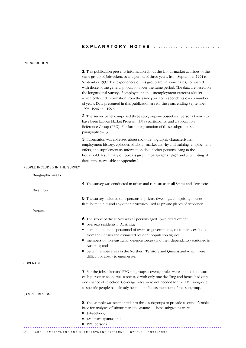### INTRODUCTION

|                               | <b>1</b> This publication presents information about the labour market activities of the<br>same group of Jobseekers over a period of three years, from September 1994 to<br>September 1997. The experiences of this group are, in some cases, compared<br>with those of the general population over the same period. The data are based on<br>the longitudinal Survey of Employment and Unemployment Patterns (SEUP)<br>which collected information from the same panel of respondents over a number<br>of years. Data presented in this publication are for the years ending September |
|-------------------------------|------------------------------------------------------------------------------------------------------------------------------------------------------------------------------------------------------------------------------------------------------------------------------------------------------------------------------------------------------------------------------------------------------------------------------------------------------------------------------------------------------------------------------------------------------------------------------------------|
|                               | 1995, 1996 and 1997.                                                                                                                                                                                                                                                                                                                                                                                                                                                                                                                                                                     |
|                               | 2 The survey panel comprised three subgroups—Jobseekers, persons known to<br>have been Labour Market Program (LMP) participants, and a Population<br>Reference Group (PRG). For further explanation of these subgroups see<br>paragraphs 9-13.                                                                                                                                                                                                                                                                                                                                           |
|                               | 3 Information was collected about socio-demographic characteristics,<br>employment history, episodes of labour market activity and training, employment<br>offers, and supplementary information about other persons living in the<br>household. A summary of topics is given in paragraphs 19-32 and a full listing of<br>data items is available at Appendix 2.                                                                                                                                                                                                                        |
| PEOPLE INCLUDED IN THE SURVEY |                                                                                                                                                                                                                                                                                                                                                                                                                                                                                                                                                                                          |
| Geographic areas              |                                                                                                                                                                                                                                                                                                                                                                                                                                                                                                                                                                                          |
|                               | 4 The survey was conducted in urban and rural areas in all States and Territories.                                                                                                                                                                                                                                                                                                                                                                                                                                                                                                       |
| <b>Dwellings</b>              |                                                                                                                                                                                                                                                                                                                                                                                                                                                                                                                                                                                          |
|                               | 5 The survey included only persons in private dwellings, comprising houses,<br>flats, home units and any other structures used as private places of residence.                                                                                                                                                                                                                                                                                                                                                                                                                           |
| Persons                       |                                                                                                                                                                                                                                                                                                                                                                                                                                                                                                                                                                                          |
|                               | 6 The scope of the survey was all persons aged 15-59 years except:<br>verseas residents in Australia;                                                                                                                                                                                                                                                                                                                                                                                                                                                                                    |
|                               | certain diplomatic personnel of overseas governments, customarily excluded<br>from the Census and estimated resident population figures;                                                                                                                                                                                                                                                                                                                                                                                                                                                 |
|                               | members of non-Australian defence forces (and their dependants) stationed in<br>Australia; and                                                                                                                                                                                                                                                                                                                                                                                                                                                                                           |
|                               | certain remote areas in the Northern Territory and Queensland which were<br>difficult or costly to enumerate.                                                                                                                                                                                                                                                                                                                                                                                                                                                                            |
| COVERAGE                      |                                                                                                                                                                                                                                                                                                                                                                                                                                                                                                                                                                                          |
|                               | 7 For the Jobseeker and PRG subgroups, coverage rules were applied to ensure<br>each person in scope was associated with only one dwelling and hence had only<br>one chance of selection. Coverage rules were not needed for the LMP subgroup<br>as specific people had already been identified as members of this subgroup.                                                                                                                                                                                                                                                             |
| SAMPLE DESIGN                 |                                                                                                                                                                                                                                                                                                                                                                                                                                                                                                                                                                                          |
|                               | 8 The sample was segmented into three subgroups to provide a sound, flexible<br>base for analyses of labour market dynamics. These subgroups were:<br><b>Jobseekers</b> ;<br>• LMP participants; and                                                                                                                                                                                                                                                                                                                                                                                     |
|                               | ■ PRG persons.                                                                                                                                                                                                                                                                                                                                                                                                                                                                                                                                                                           |
| 40                            | ABS • EMPLOYMENT AND UNEMPLOYMENT PATTERNS • 6286.0 • 1994-1997                                                                                                                                                                                                                                                                                                                                                                                                                                                                                                                          |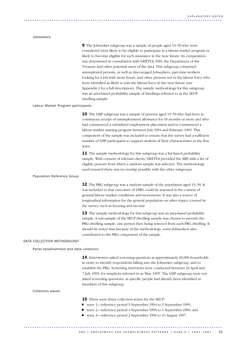### Jobseekers

9 The Jobseeker subgroup was a sample of people aged 15–59 who were considered most likely to be eligible to participate in a labour market program or likely to become eligible for such assistance in the near future. Its composition was determined in consultation with DEETYA, DSS, the Department of the Treasury and other potential users of the data. This subgroup comprised unemployed persons, as well as discouraged Jobseekers, part-time workers looking for a job with more hours, and other persons not in the labour force who were identified as likely to join the labour force in the near future (see Appendix 1 for a full description). The sample methodology for this subgroup was an area-based probability sample of dwellings referred to as the SEUP dwelling sample.

### Labour Market Program participants

**10** The LMP subgroup was a sample of persons aged 15–59 who had been in continuous receipt of unemployment allowance for 18 months or more and who had commenced a subsidised employment placement and/or commenced a labour market training program between July 1994 and February 1995. This component of the sample was included to ensure that the survey had a sufficient number of LMP participants to support analysis of their characteristics in the first wave.

**11** The sample methodology for this subgroup was a list-based probability sample. With consent of relevant clients, DEETYA provided the ABS with a list of eligible persons from which a random sample was selected. The methodology used ensured there was no overlap possible with the other subgroups.

### Population Reference Group

12 The PRG subgroup was a random sample of the population aged 15–59. It was included so that outcomes of LMPs could be assessed in the context of general labour market conditions and movements. It was also a source of longitudinal information for the general population on other topics covered by the survey, such as housing and income.

**13** The sample methodology for this subgroup was an area-based probability sample. A sub-sample of the SEUP dwelling sample was chosen to provide the PRG dwelling sample, one person then being selected from each PRG dwelling. It should be noted that because of the methodology, some Jobseekers also contributed to the PRG component of the sample.

### DATA COLLECTION METHODOLOGY

Panel establishment and data collection

14 Interviewers asked screening questions at approximately 69,000 households in order to identify respondents falling into the Jobseeker subgroup, and to establish the PRG. Screening interviews were conducted between 24 April and 7 July 1995, for simplicity referred to as 'May 1995'. The LMP subgroup were not asked screening questions, as specific people had already been identified as members of this subgroup.

### Collection waves

**15** There were three collection waves for the SEUP:

- wave 1—reference period 5 September 1994 to 3 September 1995;
- wave 2—reference period 4 September 1995 to 1 September 1996; and
- wave 3—reference period 2 September 1996 to 31 August 1997.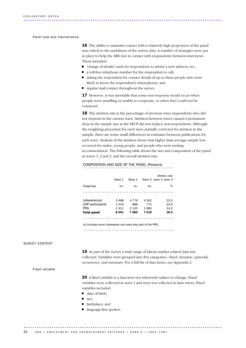### Panel size and maintenance

16 The ability to maintain contact with a relatively high proportion of the panel was critical to the usefulness of the survey data. A number of strategies were put in place to help the ABS stay in contact with respondents between interviews. These included:

............................................................................................ .....

- 'change of details' cards for respondents to advise a new address, etc.;
- a toll-free telephone number for the respondent to call;
- asking the respondent for contact details of up to three people who were likely to know the respondent's whereabouts; and
- regular mail contact throughout the survey.

17 However, it was inevitable that some non-response would occur when people were unwilling or unable to cooperate, or when they could not be contacted.

**18** The attrition rate is the percentage of previous wave respondents who did not respond in the current wave. Attrition between waves caused a permanent drop in the sample size as the SEUP did not replace non-respondents. Although the weighting procedure for each wave partially corrected for attrition in the sample, there are some small differences in estimates between publications for each wave. Analysis of the attrition shows that higher than average sample loss occurred for males, young people, and people who were renting accommodation. The following table shows the size and composition of the panel at waves 1, 2 and 3, and the overall attrition rate.

## COMPOSITION AND SIZE OF THE PANEL (Persons) ..........................................

|                                                                           |         |         |         | Attrition rate       |
|---------------------------------------------------------------------------|---------|---------|---------|----------------------|
|                                                                           | Wave 1  | Wave 2  |         | Wave 3 wave 1-wave 3 |
| Subgroups                                                                 | no.     | no.     | no.     | %                    |
|                                                                           |         |         |         |                      |
| Jobseekers(a)                                                             | 5488    | 4 7 7 9 | 4 2 6 1 | 22.3                 |
| LMP participants                                                          | 1019    | 888     | 775     | 23.9                 |
| PRG                                                                       | 2 3 1 1 | 2 1 2 0 | 1983    | 14.2                 |
| Total panel                                                               | 8591    | 7585    | 7019    | 18.3                 |
|                                                                           |         |         |         |                      |
| /s) hashed as a special to be a strong codes come of a second of the CDDA |         |         |         |                      |

(a) Includes some Jobseekers who were also part of the PRG.

..........................................

### SURVEY CONTENT

19 As part of the survey a wide range of labour market related data was collected. Variables were grouped into five categories—fixed, dynamic, episodal, occurrence, and summary. For a full list of data items, see Appendix 2.

Fixed variable

20 A fixed variable is a data item not inherently subject to change. Fixed variables were collected in wave 1 and were not collected in later waves. Fixed variables included:

- date of birth;
- sex;
- birthplace; and
- language first spoken.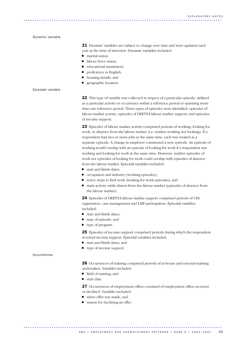Dynamic variable

21 Dynamic variables are subject to change over time and were updated each year at the time of interview. Dynamic variables included:

- marital status:
- labour force status;
- m. educational attainment;
- $\blacksquare$ proficiency in English;
- housing details; and
- $\blacksquare$ geographic location.

### Episodal variable

22 This type of variable was collected in respect of a particular episode, defined as a particular activity or occurrence within a reference period or spanning more than one reference period. Three types of episodes were identified: episodes of labour market activity; episodes of DEETYA labour market support; and episodes of income support.

23 Episodes of labour market activity comprised periods of working, looking for work, or absence from the labour market (i.e. neither working nor looking). If a respondent had two or more jobs at the same time, each was treated as a separate episode. A change in employer constituted a new episode. An episode of working would overlap with an episode of looking for work if a respondent was working and looking for work at the same time. However, neither episodes of work nor episodes of looking for work could overlap with episodes of absence from the labour market. Episodal variables included:

- start and finish dates;
- occupation and industry (working episodes);
- active steps to find work (looking for work episodes); and
- main activity while absent from the labour market (episodes of absence from  $\blacksquare$ the labour market).

24 Episodes of DEETYA labour market support comprised periods of CES registration, case management and LMP participation. Episodal variables included:

- start and finish dates;
- type of episode; and
- type of program.

25 Episodes of income support comprised periods during which the respondent received income support. Episodal variables included:

- start and finish dates; and
- $\blacksquare$  type of income support.

### Occurrences

26 Occurrences of training comprised periods of in-house and external training undertaken. Variables included:

- field of training; and
- start date.

27 Occurrences of employment offers consisted of employment offers received or declined. Variables included:

- when offer was made: and
- **reason for declining an offer.**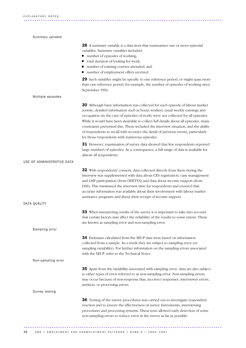| Summary variable           |                                                                                                                                                                                                                                                                                                                                                                                                                                                                                                                                                                           |
|----------------------------|---------------------------------------------------------------------------------------------------------------------------------------------------------------------------------------------------------------------------------------------------------------------------------------------------------------------------------------------------------------------------------------------------------------------------------------------------------------------------------------------------------------------------------------------------------------------------|
|                            | 28 A summary variable is a data item that summarises one or more episodal<br>variables. Summary variables included:<br>number of episodes of working;<br>total duration of looking for work;<br>ш<br>number of training courses attended; and<br>number of employment offers received.                                                                                                                                                                                                                                                                                    |
|                            | 29 Such variables might be specific to one reference period, or might span more<br>than one reference period, for example, the number of episodes of working since<br>September 1994.                                                                                                                                                                                                                                                                                                                                                                                     |
| Multiple episodes          |                                                                                                                                                                                                                                                                                                                                                                                                                                                                                                                                                                           |
|                            | 30 Although basic information was collected for each episode of labour market<br>activity, detailed information such as hours worked, usual weekly earnings and<br>occupation (in the case of episodes of work) were not collected for all episodes.<br>While it would have been desirable to collect full details about all episodes, many<br>constraints prevented this. These included the interview situation, and the ability<br>of respondents to recall with accuracy the detail of previous events, particularly<br>for those respondents with numerous episodes. |
|                            | 31 However, examination of survey data showed that few respondents reported<br>large numbers of episodes. As a consequence, a full range of data is available for<br>almost all respondents.                                                                                                                                                                                                                                                                                                                                                                              |
| USE OF ADMINISTRATIVE DATA |                                                                                                                                                                                                                                                                                                                                                                                                                                                                                                                                                                           |
|                            | 32 With respondents' consent, data collected directly from them during the<br>interview was supplemented with data about CES registration, case management<br>and LMP participation (from DEETYA) and data about income support (from<br>DSS). This minimised the interview time for respondents and ensured that<br>accurate information was available about their involvement with labour market<br>assistance programs and about their receipt of income support.                                                                                                      |
| DATA QUALITY               |                                                                                                                                                                                                                                                                                                                                                                                                                                                                                                                                                                           |
|                            | 33 When interpreting results of the survey it is important to take into account<br>that certain factors may affect the reliability of the results to some extent. These<br>are known as sampling error and non-sampling error.                                                                                                                                                                                                                                                                                                                                            |
| Sampling error             |                                                                                                                                                                                                                                                                                                                                                                                                                                                                                                                                                                           |
|                            | 34 Estimates calculated from the SEUP data were based on information<br>collected from a sample. As a result they are subject to sampling error (or<br>sampling variability). For further information on the sampling errors associated<br>with the SEUP, refer to the Technical Notes.                                                                                                                                                                                                                                                                                   |
| Non-sampling error         |                                                                                                                                                                                                                                                                                                                                                                                                                                                                                                                                                                           |
|                            | <b>35</b> Apart from the variability associated with sampling error, data are also subject<br>to other types of error referred to as non-sampling error. Non-sampling errors<br>may occur because of non-response bias, incorrect responses, interviewer errors,<br>attrition, or processing errors.                                                                                                                                                                                                                                                                      |
| Survey testing             |                                                                                                                                                                                                                                                                                                                                                                                                                                                                                                                                                                           |
|                            | 36 Testing of the survey procedures was carried out to investigate respondent<br>reaction and to ensure the effectiveness of survey instruments, interviewing<br>procedures and processing systems. These tests allowed early detection of some<br>non-sampling errors to reduce error in the survey as far as possible.                                                                                                                                                                                                                                                  |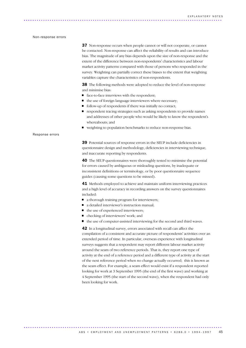### Non-response errors

**37** Non-response occurs when people cannot or will not cooperate, or cannot be contacted. Non-response can affect the reliability of results and can introduce bias. The magnitude of any bias depends upon the size of non-response and the extent of the difference between non-respondents' characteristics and labour market activity patterns compared with those of persons who responded in the survey. Weighting can partially correct these biases to the extent that weighting variables capture the characteristics of non-respondents.

**38** The following methods were adopted to reduce the level of non-response and minimise bias:

- face-to-face interviews with the respondent;
- $\blacksquare$  the use of foreign language interviewers where necessary;
- follow-up of respondents if there was initially no contact;
- respondent tracing strategies such as asking respondents to provide names and addresses of other people who would be likely to know the respondent's whereabouts; and
- weighting to population benchmarks to reduce non-response bias.

39 Potential sources of response errors in the SEUP include deficiencies in questionnaire design and methodology, deficiencies in interviewing technique, and inaccurate reporting by respondents.

40 The SEUP questionnaires were thoroughly tested to minimise the potential for errors caused by ambiguous or misleading questions, by inadequate or inconsistent definitions or terminology, or by poor questionnaire sequence guides (causing some questions to be missed).

41 Methods employed to achieve and maintain uniform interviewing practices and a high level of accuracy in recording answers on the survey questionnaires included:

■ a thorough training program for interviewers;

............................................................................................ ..

- a detailed interviewer's instruction manual;
- the use of experienced interviewers;
- $\blacksquare$ checking of interviewers' work; and
- the use of computer-assisted interviewing for the second and third waves.

42 In a longitudinal survey, errors associated with recall can affect the compilation of a consistent and accurate picture of respondents' activities over an extended period of time. In particular, overseas experience with longitudinal surveys suggests that a respondent may report different labour market activity around the seam of two reference periods. That is, they report one type of activity at the end of a reference period and a different type of activity at the start of the next reference period when no change actually occurred; this is known as the seam effect. For example, a seam effect would exist if a respondent reported looking for work at 3 September 1995 (the end of the first wave) and working at 4 September 1995 (the start of the second wave), when the respondent had only been looking for work.

### Response errors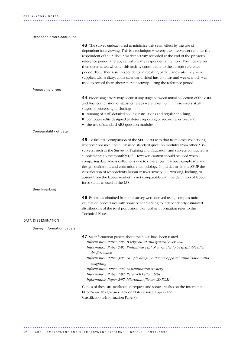### Response errors *continued*

| 43 The survey endeavoured to minimise this seam effect by the use of<br>dependent interviewing. This is a technique whereby the interviewer reminds the<br>respondent of their labour market activity recorded at the end of the previous<br>reference period, thereby refreshing the respondent's memory. The interviewer<br>then determined whether this activity continued into the current reference<br>period. To further assist respondents in recalling particular events, they were<br>supplied with a diary, and a calendar divided into months and weeks which was<br>used to record their labour market activity during the reference period.                                             |
|------------------------------------------------------------------------------------------------------------------------------------------------------------------------------------------------------------------------------------------------------------------------------------------------------------------------------------------------------------------------------------------------------------------------------------------------------------------------------------------------------------------------------------------------------------------------------------------------------------------------------------------------------------------------------------------------------|
|                                                                                                                                                                                                                                                                                                                                                                                                                                                                                                                                                                                                                                                                                                      |
| 44 Processing errors may occur at any stage between initial collection of the data<br>and final compilation of statistics. Steps were taken to minimise errors at all<br>stages of processing, including:<br>• training of staff, detailed coding instructions and regular checking;<br>computer edits designed to detect reporting or recording errors; and<br>• the use of standard ABS question modules.                                                                                                                                                                                                                                                                                          |
|                                                                                                                                                                                                                                                                                                                                                                                                                                                                                                                                                                                                                                                                                                      |
| 45 To facilitate comparison of the SEUP data with that from other collections,<br>wherever possible, the SEUP used standard question modules from other ABS<br>surveys, such as the Survey of Training and Education, and surveys conducted as<br>supplements to the monthly LFS. However, caution should be used when<br>comparing data across collections due to differences in scope, sample size and<br>design, definitions and estimation methodology. In particular, in the SEUP the<br>classification of respondents' labour market activity (i.e. working, looking, or<br>absent from the labour market) is not comparable with the definition of labour<br>force status as used in the LFS. |
|                                                                                                                                                                                                                                                                                                                                                                                                                                                                                                                                                                                                                                                                                                      |
| 46 Estimates obtained from the survey were derived using complex ratio<br>estimation procedures with some benchmarking to independently estimated<br>distributions of the total population. For further information refer to the<br>Technical Notes.                                                                                                                                                                                                                                                                                                                                                                                                                                                 |
|                                                                                                                                                                                                                                                                                                                                                                                                                                                                                                                                                                                                                                                                                                      |
|                                                                                                                                                                                                                                                                                                                                                                                                                                                                                                                                                                                                                                                                                                      |
| 47 Six information papers about the SEUP have been issued:<br>Information Paper 1/95: Background and general overview<br>Information Paper 2/95: Preliminary list of variables to be available after<br>the first wave<br>Information Paper 3/95: Sample design, outcome of panel initialisation and<br>weighting<br>Information Paper 1/96: Dissemination strategy<br>Information Paper 1/97: Research Fellowships<br>Information Paper 2/97: Microdata file on CD-ROM<br>Copies of these are available on request and some are also on the Internet at<br>http://www.abs.gov.au (Click on Statistics/ABS Papers and                                                                                |
|                                                                                                                                                                                                                                                                                                                                                                                                                                                                                                                                                                                                                                                                                                      |

46 ABS • EMPLOYMENT AND UNEMPLOYMENT PATTERNS • 6286.0 • 1994-1997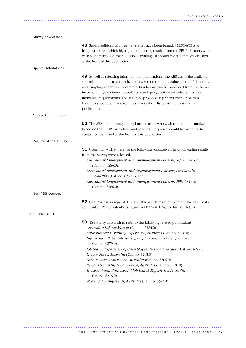| Survey newsletter     |                                                                                                                                                                                                                                                                                                                                                                                                                                                                                                                          |
|-----------------------|--------------------------------------------------------------------------------------------------------------------------------------------------------------------------------------------------------------------------------------------------------------------------------------------------------------------------------------------------------------------------------------------------------------------------------------------------------------------------------------------------------------------------|
|                       | <b>48</b> Several editions of a free newsletter have been issued. SEUPDATE is an<br>irregular release which highlights interesting results from the SEUP. Readers who<br>wish to be placed on the SEUPDATE mailing list should contact the officer listed<br>at the front of this publication.                                                                                                                                                                                                                           |
| Special tabulations   |                                                                                                                                                                                                                                                                                                                                                                                                                                                                                                                          |
|                       | 49 As well as releasing information in publications, the ABS can make available<br>special tabulations to suit individual user requirements. Subject to confidentiality<br>and sampling variability constraints, tabulations can be produced from the survey<br>incorporating data items, populations and geographic areas selected to meet<br>individual requirements. These can be provided in printed form or on disk.<br>Inquiries should be made to the contact officer listed at the front of this<br>publication. |
| Access to microdata   |                                                                                                                                                                                                                                                                                                                                                                                                                                                                                                                          |
|                       | 50 The ABS offers a range of options for users who wish to undertake analysis<br>based on the SEUP microdata (unit records). Inquiries should be made to the<br>contact officer listed at the front of this publication.                                                                                                                                                                                                                                                                                                 |
| Results of the survey |                                                                                                                                                                                                                                                                                                                                                                                                                                                                                                                          |
|                       | 51 Users may wish to refer to the following publications in which earlier results<br>from this survey were released:                                                                                                                                                                                                                                                                                                                                                                                                     |
|                       | Australians' Employment and Unemployment Patterns, September 1995<br>(Cat. no. 6286.0);<br>Australians' Employment and Unemployment Patterns, First Results,                                                                                                                                                                                                                                                                                                                                                             |
|                       | 1994-1996 (Cat. no. 6289.0); and                                                                                                                                                                                                                                                                                                                                                                                                                                                                                         |
|                       | Australians' Employment and Unemployment Patterns, 1994 to 1996<br>(Cat. no. 6286.0).                                                                                                                                                                                                                                                                                                                                                                                                                                    |
| Non-ABS sources       |                                                                                                                                                                                                                                                                                                                                                                                                                                                                                                                          |
|                       | 52 DEETYA has a range of data available which may complement the SEUP data<br>set. Contact Philip Gatenby on Canberra 02 6240 8745 for further details.                                                                                                                                                                                                                                                                                                                                                                  |
| RELATED PRODUCTS      |                                                                                                                                                                                                                                                                                                                                                                                                                                                                                                                          |
|                       | <b>53</b> Users may also wish to refer to the following related publications:<br>Australian Labour Market (Cat. no. 6284.0)                                                                                                                                                                                                                                                                                                                                                                                              |
|                       | Education and Training Experience, Australia (Cat. no. 6278.0)<br>Information Paper: Measuring Employment and Unemployment<br>(Cat. no. 6279.0)                                                                                                                                                                                                                                                                                                                                                                          |
|                       | Job Search Experience of Unemployed Persons, Australia (Cat. no. 6222.0)<br>Labour Force, Australia (Cat. no. 6203.0)                                                                                                                                                                                                                                                                                                                                                                                                    |
|                       | Labour Force Experience, Australia (Cat. no. 6206.0)<br>Persons Not in the Labour Force, Australia (Cat. no. 6220.0)                                                                                                                                                                                                                                                                                                                                                                                                     |
|                       | Successful and Unsuccessful Job Search Experience, Australia<br>(Cat. no. 6245.0)                                                                                                                                                                                                                                                                                                                                                                                                                                        |
|                       | Working Arrangements, Australia (Cat. no. 6342.0).                                                                                                                                                                                                                                                                                                                                                                                                                                                                       |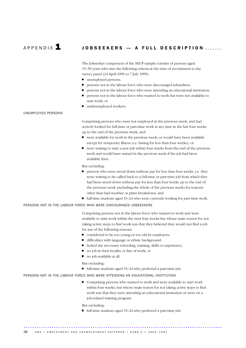### A P P E N D IX  $\blacksquare$  JOBSEEKERS — A FULL DESCRIPTION .......

The Jobseeker component of the SEUP sample consists of persons aged 15–59 years who met the following criteria at the time of recruitment to the survey panel (24 April 1995 to 7 July 1995):

- unemployed persons;
- persons not in the labour force who were discouraged jobseekers;
- persons not in the labour force who were attending an educational institution;
- persons not in the labour force who wanted to work but were not available to start work; or
- underemployed workers.

### UNEMPLOYED PERSONS

Comprising persons who were not employed in the previous week, and had actively looked for full-time or part-time work at any time in the last four weeks up to the end of the previous week, and:

- were available for work in the previous week, or would have been available except for temporary illness (i.e. lasting for less than four weeks); or
- $\blacksquare$  were waiting to start a new job within four weeks from the end of the previous week and would have started in the previous week if the job had been available then.

But excluding:

- **Persons who were stood down without pay for less than four weeks, i.e. they** were waiting to be called back to a full-time or part-time job from which they had been stood down without pay for less than four weeks up to the end of the previous week (including the whole of the previous week) for reasons other than bad weather or plant breakdown; and
- $\blacksquare$  full-time students aged 15–24 who were currently looking for part-time work.

### PERSONS NOT IN THE LABOUR FORCE WHO WERE DISCOURAGED JOBSEEKERS

Comprising persons not in the labour force who wanted to work and were available to start work within the next four weeks but whose main reason for not taking active steps to find work was that they believed they would not find a job for any of the following reasons:

- considered to be too young or too old by employers;
- difficulties with language or ethnic background;
- lacked the necessary schooling, training, skills or experience;
- $\blacksquare$ no job in their locality or line of work; or
- no job available at all.

### But excluding:

 $\blacksquare$  full-time students aged 15–24 who preferred a part-time job.

### PERSONS NOT IN THE LABOUR FORCE WHO WERE ATTENDING AN EDUCATIONAL INSTITUTION

■ Comprising persons who wanted to work and were available to start work within four weeks, but whose main reason for not taking active steps to find work was that they were attending an educational institution or were on a job-related training program.

But excluding:

full-time students aged  $15-24$  who preferred a part-time job.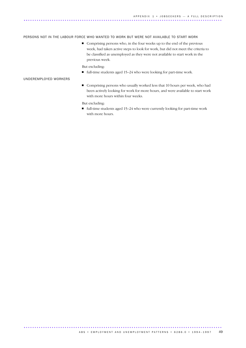### PERSONS NOT IN THE LABOUR FORCE WHO WANTED TO WORK BUT WERE NOT AVAILABLE TO START WORK

 $\blacksquare$  Comprising persons who, in the four weeks up to the end of the previous week, had taken active steps to look for work, but did not meet the criteria to be classified as unemployed as they were not available to start work in the previous week.

But excluding:

 $\blacksquare$  full-time students aged 15–24 who were looking for part-time work.

### UNDEREMPLOYED WORKERS

Comprising persons who usually worked less that 10 hours per week, who had been actively looking for work for more hours, and were available to start work with more hours within four weeks.

But excluding:

■ full-time students aged 15–24 who were currently looking for part-time work with more hours.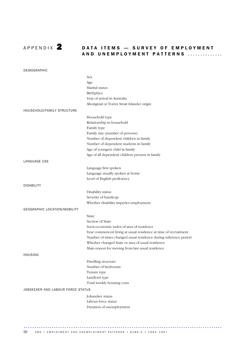

### A P P EN DIX **2** DATA ITEMS - SURVEY OF EMPLOYMENT AND UNEMPLOYMENT PATTERNS ..............

| DEMOGRAPHIC                       |                                                                 |
|-----------------------------------|-----------------------------------------------------------------|
|                                   | Sex                                                             |
|                                   | Age                                                             |
|                                   | Marital status                                                  |
|                                   | Birthplace                                                      |
|                                   | Year of arrival in Australia                                    |
|                                   | Aboriginal or Torres Strait Islander origin                     |
| HOUSEHOLD/FAMILY STRUCTURE        |                                                                 |
|                                   | Household type                                                  |
|                                   | Relationship in household                                       |
|                                   | Family type                                                     |
|                                   | Family size (number of persons)                                 |
|                                   | Number of dependent children in family                          |
|                                   | Number of dependent students in family                          |
|                                   | Age of youngest child in family                                 |
|                                   | Age of all dependent children present in family                 |
| LANGUAGE USE                      |                                                                 |
|                                   | Language first spoken                                           |
|                                   | Language usually spoken at home                                 |
|                                   | Level of English proficiency                                    |
| <b>DISABILITY</b>                 |                                                                 |
|                                   | Disability status                                               |
|                                   | Severity of handicap                                            |
|                                   | Whether disability impedes employment                           |
| GEOGRAPHIC LOCATION/MOBILITY      |                                                                 |
|                                   | State                                                           |
|                                   | Section of State                                                |
|                                   | Socio-economic index of area of residence                       |
|                                   | Year commenced living at usual residence at time of recruitment |
|                                   | Number of times changed usual residence during reference period |
|                                   | Whether changed State or area of usual residence                |
|                                   | Main reason for moving from last usual residence                |
| HOUSING                           |                                                                 |
|                                   |                                                                 |
|                                   | Dwelling structure<br>Number of bedrooms                        |
|                                   | Tenure type                                                     |
|                                   | Landlord type                                                   |
|                                   | Total weekly housing costs                                      |
|                                   |                                                                 |
| JOBSEEKER AND LABOUR FORCE STATUS |                                                                 |
|                                   | Jobseeker status                                                |
|                                   | Labour force status                                             |
|                                   | Duration of unemployment                                        |
|                                   |                                                                 |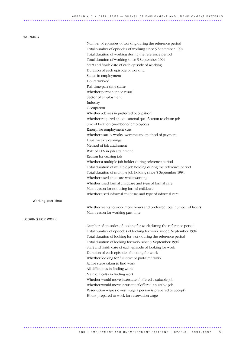### WORKING

|                   | Number of episodes of working during the reference period            |
|-------------------|----------------------------------------------------------------------|
|                   | Total number of episodes of working since 5 September 1994           |
|                   | Total duration of working during the reference period                |
|                   | Total duration of working since 5 September 1994                     |
|                   | Start and finish date of each episode of working                     |
|                   | Duration of each episode of working                                  |
|                   | Status in employment                                                 |
|                   | Hours worked                                                         |
|                   | Full-time/part-time status                                           |
|                   | Whether permanent or casual                                          |
|                   | Sector of employment                                                 |
|                   | Industry                                                             |
|                   |                                                                      |
|                   | Occupation                                                           |
|                   | Whether job was in preferred occupation                              |
|                   | Whether required an educational qualification to obtain job          |
|                   | Size of location (number of employees)                               |
|                   | Enterprise employment size                                           |
|                   | Whether usually works overtime and method of payment                 |
|                   | Usual weekly earnings                                                |
|                   | Method of job attainment                                             |
|                   | Role of CES in job attainment                                        |
|                   | Reason for ceasing job                                               |
|                   | Whether a multiple job holder during reference period                |
|                   | Total duration of multiple job holding during the reference period   |
|                   | Total duration of multiple job holding since 5 September 1994        |
|                   | Whether used childcare while working                                 |
|                   | Whether used formal childcare and type of formal care                |
|                   | Main reason for not using formal childcare                           |
|                   | Whether used informal childcare and type of informal care            |
| Working part-time |                                                                      |
|                   |                                                                      |
|                   | Whether wants to work more hours and preferred total number of hours |
|                   | Main reason for working part-time                                    |
| LOOKING FOR WORK  |                                                                      |
|                   | Number of episodes of looking for work during the reference period   |
|                   | Total number of episodes of looking for work since 5 September 1994  |
|                   | Total duration of looking for work during the reference period       |
|                   | Total duration of looking for work since 5 September 1994            |
|                   | Start and finish date of each episode of looking for work            |
|                   | Duration of each episode of looking for work                         |
|                   | Whether looking for full-time or part-time work                      |
|                   | Active steps taken to find work                                      |
|                   | All difficulties in finding work                                     |
|                   | Main difficulty in finding work                                      |
|                   | Whether would move interstate if offered a suitable job              |
|                   | Whether would move intrastate if offered a suitable job              |
|                   | Reservation wage (lowest wage a person is prepared to accept)        |
|                   |                                                                      |
|                   | Hours prepared to work for reservation wage                          |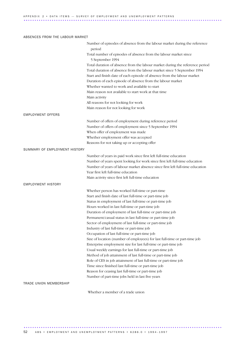### ABSENCES FROM THE LABOUR MARKET

|                               | Number of episodes of absence from the labour market during the reference            |
|-------------------------------|--------------------------------------------------------------------------------------|
|                               | period                                                                               |
|                               | Total number of episodes of absence from the labour market since<br>5 September 1994 |
|                               | Total duration of absence from the labour market during the reference period         |
|                               | Total duration of absence from the labour market since 5 September 1994              |
|                               | Start and finish date of each episode of absence from the labour market              |
|                               | Duration of each episode of absence from the labour market                           |
|                               | Whether wanted to work and available to start                                        |
|                               | Main reason not available to start work at that time                                 |
|                               | Main activity                                                                        |
|                               | All reasons for not looking for work                                                 |
|                               | Main reason for not looking for work                                                 |
|                               |                                                                                      |
| <b>EMPLOYMENT OFFERS</b>      |                                                                                      |
|                               | Number of offers of employment during reference period                               |
|                               | Number of offers of employment since 5 September 1994                                |
|                               | When offer of employment was made                                                    |
|                               | Whether employment offer was accepted                                                |
|                               | Reasons for not taking up or accepting offer                                         |
| SUMMARY OF EMPLOYMENT HISTORY |                                                                                      |
|                               | Number of years in paid work since first left full-time education                    |
|                               | Number of years spent looking for work since first left full-time education          |
|                               | Number of years of labour market absence since first left full-time education        |
|                               | Year first left full-time education                                                  |
|                               | Main activity since first left full-time education                                   |
| <b>EMPLOYMENT HISTORY</b>     |                                                                                      |
|                               | Whether person has worked full-time or part-time                                     |
|                               | Start and finish date of last full-time or part-time job                             |
|                               | Status in employment of last full-time or part-time job                              |
|                               | Hours worked in last full-time or part-time job                                      |
|                               | Duration of employment of last full-time or part-time job                            |
|                               | Permanent/casual status in last full-time or part-time job                           |
|                               | Sector of employment of last full-time or part-time job                              |
|                               | Industry of last full-time or part-time job                                          |
|                               | Occupation of last full-time or part-time job                                        |
|                               | Size of location (number of employees) for last full-time or part-time job           |
|                               | Enterprise employment size for last full-time or part-time job                       |
|                               | Usual weekly earnings for last full-time or part-time job                            |
|                               | Method of job attainment of last full-time or part-time job                          |
|                               | Role of CES in job attainment of last full-time or part-time job                     |
|                               | Time since finished last full-time or part-time job                                  |
|                               | Reason for ceasing last full-time or part-time job                                   |
|                               | Number of part-time jobs held in last five years                                     |
| TRADE UNION MEMBERSHIP        |                                                                                      |
|                               |                                                                                      |

Whether a member of a trade union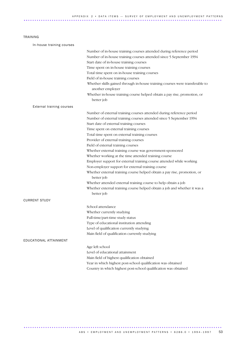### TRAINING

| In-house training courses |                                                                                                  |
|---------------------------|--------------------------------------------------------------------------------------------------|
|                           | Number of in-house training courses attended during reference period                             |
|                           | Number of in-house training courses attended since 5 September 1994                              |
|                           | Start date of in-house training courses                                                          |
|                           | Time spent on in-house training courses                                                          |
|                           | Total time spent on in-house training courses                                                    |
|                           | Field of in-house training courses                                                               |
|                           | Whether skills gained through in-house training courses were transferable to<br>another employer |
|                           | Whether in-house training course helped obtain a pay rise, promotion, or<br>better job           |
| External training courses |                                                                                                  |
|                           | Number of external training courses attended during reference period                             |
|                           | Number of external training courses attended since 5 September 1994                              |
|                           | Start date of external training courses                                                          |
|                           | Time spent on external training courses                                                          |
|                           | Total time spent on external training courses                                                    |
|                           | Provider of external training courses                                                            |
|                           | Field of external training courses                                                               |
|                           | Whether external training course was government-sponsored                                        |
|                           | Whether working at the time attended training course                                             |
|                           | Employer support for external training course attended while working                             |
|                           | Non-employer support for external training course                                                |
|                           | Whether external training course helped obtain a pay rise, promotion, or<br>better job           |
|                           | Whether attended external training course to help obtain a job                                   |
|                           | Whether external training course helped obtain a job and whether it was a<br>better job          |
| <b>CURRENT STUDY</b>      |                                                                                                  |
|                           | School attendance                                                                                |
|                           | Whether currently studying                                                                       |
|                           | Full-time/part-time study status                                                                 |
|                           | Type of educational institution attending                                                        |
|                           | Level of qualification currently studying                                                        |
|                           | Main field of qualification currently studying                                                   |
| EDUCATIONAL ATTAINMENT    |                                                                                                  |
|                           | Age left school                                                                                  |
|                           | Level of educational attainment                                                                  |
|                           | Main field of highest qualification obtained                                                     |
|                           | Year in which highest post-school qualification was obtained                                     |
|                           | Country in which highest post-school qualification was obtained                                  |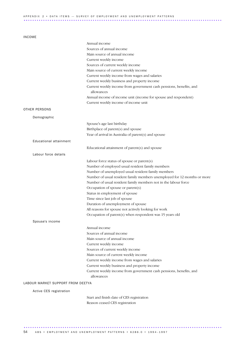### A P P E N D IX 2 • DATA ITEMS — SURVEY OF EMPLOYMENT AND UNEMPLOYMENT PATTERNS ............................................................................................ ..

### INCOME

|                                   | Annual income                                                                                          |
|-----------------------------------|--------------------------------------------------------------------------------------------------------|
|                                   | Sources of annual income                                                                               |
|                                   | Main source of annual income                                                                           |
|                                   | Current weekly income                                                                                  |
|                                   | Sources of current weekly income                                                                       |
|                                   | Main source of current weekly income                                                                   |
|                                   | Current weekly income from wages and salaries                                                          |
|                                   | Current weekly business and property income                                                            |
|                                   | Current weekly income from government cash pensions, benefits, and<br>allowances                       |
|                                   | Annual income of income unit (income for spouse and respondent)                                        |
|                                   | Current weekly income of income unit                                                                   |
| OTHER PERSONS                     |                                                                                                        |
| Demographic                       |                                                                                                        |
|                                   | Spouse's age last birthday                                                                             |
|                                   | Birthplace of parent(s) and spouse                                                                     |
|                                   | Year of arrival in Australia of parent(s) and spouse                                                   |
| Educational attainment            |                                                                                                        |
|                                   | Educational attainment of parent(s) and spouse                                                         |
| Labour force details              |                                                                                                        |
|                                   |                                                                                                        |
|                                   | Labour force status of spouse or parent(s)                                                             |
|                                   | Number of employed usual resident family members<br>Number of unemployed usual resident family members |
|                                   | Number of usual resident family members unemployed for 12 months or more                               |
|                                   | Number of usual resident family members not in the labour force                                        |
|                                   | Occupation of spouse or parent(s)                                                                      |
|                                   | Status in employment of spouse                                                                         |
|                                   | Time since last job of spouse                                                                          |
|                                   | Duration of unemployment of spouse                                                                     |
|                                   | All reasons for spouse not actively looking for work                                                   |
|                                   | Occupation of parent(s) when respondent was 15 years old                                               |
| Spouse's income                   |                                                                                                        |
|                                   |                                                                                                        |
|                                   | Annual income                                                                                          |
|                                   | Sources of annual income<br>Main source of annual income                                               |
|                                   | Current weekly income                                                                                  |
|                                   | Sources of current weekly income                                                                       |
|                                   | Main source of current weekly income                                                                   |
|                                   | Current weekly income from wages and salaries                                                          |
|                                   | Current weekly business and property income                                                            |
|                                   | Current weekly income from government cash pensions, benefits, and                                     |
|                                   | allowances                                                                                             |
| LABOUR MARKET SUPPORT FROM DEETYA |                                                                                                        |
| Active CES registration           |                                                                                                        |
|                                   | Start and finish date of CES registration                                                              |
|                                   | Reason ceased CES registration                                                                         |
|                                   |                                                                                                        |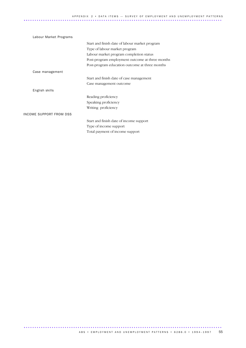| Labour Market Programs  |                                                 |
|-------------------------|-------------------------------------------------|
|                         | Start and finish date of labour market program  |
|                         | Type of labour market program                   |
|                         | Labour market program completion status         |
|                         | Post-program employment outcome at three months |
|                         | Post-program education outcome at three months  |
| Case management         |                                                 |
|                         | Start and finish date of case management        |
|                         | Case management outcome                         |
| English skills          |                                                 |
|                         | Reading proficiency                             |
|                         | Speaking proficiency                            |
|                         | Writing proficiency                             |
| INCOME SUPPORT FROM DSS |                                                 |
|                         | Start and finish date of income support         |
|                         | Type of income support                          |
|                         | Total payment of income support                 |
|                         |                                                 |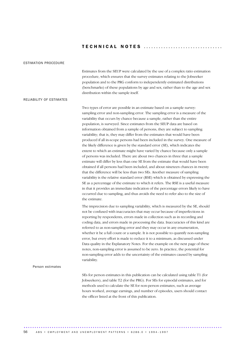### TECHNICAL NOTES .................................

### ESTIMATION PROCEDURE

Estimates from the SEUP were calculated by the use of a complex ratio estimation procedure, which ensures that the survey estimates relating to the Jobseeker population and to the PRG conform to independently estimated distributions (benchmarks) of these populations by age and sex, rather than to the age and sex distribution within the sample itself.

### RELIABILITY OF ESTIMATES

Two types of error are possible in an estimate based on a sample survey: sampling error and non-sampling error. The sampling error is a measure of the variability that occurs by chance because a sample, rather than the entire population, is surveyed. Since estimates from the SEUP data are based on information obtained from a sample of persons, they are subject to sampling variability; that is, they may differ from the estimates that would have been produced if all in-scope persons had been included in the survey. One measure of the likely difference is given by the standard error (SE), which indicates the extent to which an estimate might have varied by chance because only a sample of persons was included. There are about two chances in three that a sample estimate will differ by less than one SE from the estimate that would have been obtained if all persons had been included, and about nineteen chances in twenty that the difference will be less than two SEs. Another measure of sampling variability is the relative standard error (RSE) which is obtained by expressing the SE as a percentage of the estimate to which it refers. The RSE is a useful measure in that it provides an immediate indication of the percentage errors likely to have occurred due to sampling, and thus avoids the need to refer also to the size of the estimate.

The imprecision due to sampling variability, which is measured by the SE, should not be confused with inaccuracies that may occur because of imperfections in reporting by respondents, errors made in collection such as in recording and coding data, and errors made in processing the data. Inaccuracies of this kind are referred to as non-sampling error and they may occur in any enumeration, whether it be a full count or a sample. It is not possible to quantify non-sampling error, but every effort is made to reduce it to a minimum, as discussed under Data quality in the Explanatory Notes. For the example on the next page of these notes, non-sampling error is assumed to be zero. In practice, the potential for non-sampling error adds to the uncertainty of the estimates caused by sampling variability.

#### Person estimates

SEs for person estimates in this publication can be calculated using table T1 (for Jobseekers), and table T2 (for the PRG). For SEs for episodal estimates, and for methods used to calculate the SE for non-person estimates, such as average hours worked, average earnings, and number of episodes, users should contact the officer listed at the front of this publication.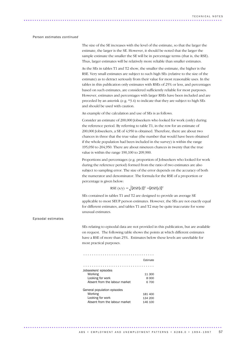### Person estimates *continued*

The size of the SE increases with the level of the estimate, so that the larger the estimate, the larger is the SE. However, it should be noted that the larger the sample estimate the smaller the SE will be in percentage terms (that is, the RSE). Thus, larger estimates will be relatively more reliable than smaller estimates.

As the SEs in tables T1 and T2 show, the smaller the estimate, the higher is the RSE. Very small estimates are subject to such high SEs (relative to the size of the estimate) as to detract seriously from their value for most reasonable uses. In the tables in this publication only estimates with RSEs of 25% or less, and percentages based on such estimates, are considered sufficiently reliable for most purposes. However, estimates and percentages with larger RSEs have been included and are preceded by an asterisk (e.g. \*3.4) to indicate that they are subject to high SEs and should be used with caution.

An example of the calculation and use of SEs is as follows.

Consider an estimate of 200,000 Jobseekers who looked for work (only) during the reference period. By referring to table T1, in the row for an estimate of 200,000 Jobseekers, a SE of 4,950 is obtained. Therefore, there are about two chances in three that the true value (the number that would have been obtained if the whole population had been included in the survey) is within the range 195,050 to 204,950. There are about nineteen chances in twenty that the true value is within the range 190,100 to 209,900.

Proportions and percentages (e.g. proportion of Jobseekers who looked for work during the reference period) formed from the ratio of two estimates are also subject to sampling error. The size of the error depends on the accuracy of both the numerator and denominator. The formula for the RSE of a proportion or percentage is given below:

### RSE  $(x/y) = \sqrt{[RSE(x)]^2 - [RSE(y)]^2}$

SEs contained in tables T1 and T2 are designed to provide an average SE applicable to most SEUP person estimates. However, the SEs are not exactly equal for different estimates, and tables T1 and T2 may be quite inaccurate for some unusual estimates.

### Episodal estimates

SEs relating to episodal data are not provided in this publication, but are available on request. The following table shows the points at which different estimates have a RSE of more than 25%. Estimates below these levels are unreliable for most practical purposes.

|                                                                                             | Estimate                      |
|---------------------------------------------------------------------------------------------|-------------------------------|
|                                                                                             |                               |
| Jobseekers' episodes<br>Working<br>Looking for work<br>Absent from the labour market        | 11 300<br>8 000<br>6 700      |
| General population episodes<br>Working<br>Looking for work<br>Absent from the labour market | 181 400<br>134 200<br>146 100 |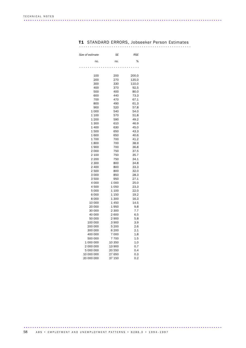|  | <b>T1</b> STANDARD ERRORS, Jobseeker Person Estimates |  |
|--|-------------------------------------------------------|--|
|  |                                                       |  |

| Size of estimate | SE             | <b>RSE</b>   |
|------------------|----------------|--------------|
| no.              | no.            | %            |
|                  |                |              |
| 100              | 200            | 200.0        |
| 200              | 270            | 135.0        |
| 300              | 330            | 110.0        |
| 400              | 370            | 92.5         |
| 500              | 400<br>440     | 80.0<br>73.3 |
| 600<br>700       | 470            | 67.1         |
| 800              | 490            | 61.3         |
| 900              | 520            | 57.8         |
| 1 0 0 0          | 540            | 54.0         |
| 1 100            | 570            | 51.8         |
| 1 200            | 590            | 49.2         |
| 1 300            | 610            | 46.9         |
| 1 400            | 630            | 45.0         |
| 1500             | 650            | 43.3         |
| 1600             | 650            | 40.6         |
| 1700             | 700            | 41.2         |
| 1800             | 700            | 38.9         |
| 1900             | 700            | 36.8         |
| 2 000            | 750            | 37.5         |
| 2 100            | 750            | 35.7         |
| 2 200            | 750            | 34.1         |
| 2 300            | 800            | 34.8         |
| 2 400            | 800            | 33.3         |
| 2 500            | 800            | 32.0         |
| 3 000<br>3500    | 850            | 28.3<br>27.1 |
| 4 000            | 950<br>1 0 0 0 | 25.0         |
| 4 500            | 1050           | 23.3         |
| 5 000            | 1 100          | 22.0         |
| 6 0 0 0          | 1 1 5 0        | 19.2         |
| 8 0 0 0          | 1 300          | 16.3         |
| 10 000           | 1450           | 14.5         |
| 20 000           | 1950           | 9.8          |
| 30 000           | 2 3 0 0        | 7.7          |
| 40 000           | 2600           | 6.5          |
| 50 000           | 2 900          | 5.8          |
| 100 000          | 3 900          | 3.9          |
| 200 000          | 5 200          | 2.6          |
| 300 000          | 6 200          | 2.1          |
| 400 000          | 7 0 0 0        | 1.8          |
| 500 000          | 7700           | 1.5          |
| 1 000 000        | 10 350         | 1.0          |
| 2 000 000        | 13 900         | 0.7          |
| 5 000 000        | 20 550         | 0.4          |
| 10 000 000       | 27 650         | 0.3          |
| 20 000 000       | 37 150         | 0.2          |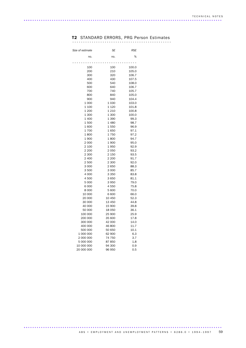# T2 STANDARD ERRORS, PRG Person Estimates ..............................................

| Size of estimate | SE               | RSE          |
|------------------|------------------|--------------|
| no.              | no.              | %            |
|                  |                  | $\circ$      |
| 100              | 100              | 100.0        |
| 200              | 210              | 105.0        |
| 300              | 320              | 106.7        |
| 400              | 430              | 107.5        |
| 500              | 540              | 108.0        |
| 600              | 640              | 106.7        |
| 700              | 740              | 105.7        |
| 800              | 840              | 105.0        |
| 900              | 940              | 104.4        |
| 1 000            | 1 0 3 0          | 103.0        |
| 1 100            | 1 1 2 0          | 101.8        |
| 1 200            | 1 2 1 0          | 100.8        |
| 1 300<br>1 400   | 1 300            | 100.0        |
| 1500             | 1 390<br>1 4 8 0 | 99.3<br>98.7 |
| 1600             | 1550             | 96.9         |
| 1700             | 1650             | 97.1         |
| 1800             | 1750             | 97.2         |
| 1900             | 1800             | 94.7         |
| 2 000            | 1900             | 95.0         |
| 2 100            | 1950             | 92.9         |
| 2 200            | 2 0 5 0          | 93.2         |
| 2 300            | 2 150            | 93.5         |
| 2 400            | 2 2 0 0          | 91.7         |
| 2 500            | 2 300            | 92.0         |
| 3 000            | 2650             | 88.3         |
| 3500             | 3 000            | 85.7         |
| 4 0 0 0          | 3 3 5 0          | 83.8         |
| 4500             | 3650             | 81.1         |
| 5 0 0 0          | 3950             | 79.0         |
| 6 000            | 4550             | 75.8         |
| 8 000            | 5 600            | 70.0         |
| 10 000           | 6 600            | 66.0         |
| 20 000           | 10 450           | 52.3         |
| 30 000           | 13 450           | 44.8         |
| 40 000           | 15 900           | 39.8         |
| 50 000           | 18 050           | 36.1         |
| 100 000          | 25 900           | 25.9         |
| 200 000          | 35 600           | 17.8         |
| 300 000          | 42 000           | 14.0         |
| 400 000          | 46 800           | 11.7         |
| 500 000          | 50 650           | 10.1         |
| 1 000 000        | 62 900           | 6.3          |
| 2 000 000        | 74 750           | 3.7          |
| 5 000 000        | 87 850           | 1.8          |
| 10 000 000       | 94 300           | 0.9          |
| 20 000 000       | 96 950           | 0.5          |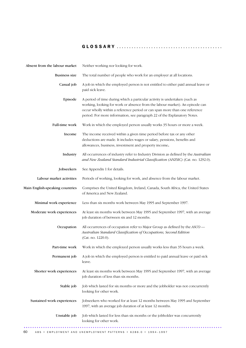| Absent from the labour market   | Neither working nor looking for work.                                                                                                                                                                                                                                                                                |  |
|---------------------------------|----------------------------------------------------------------------------------------------------------------------------------------------------------------------------------------------------------------------------------------------------------------------------------------------------------------------|--|
| <b>Business size</b>            | The total number of people who work for an employer at all locations.                                                                                                                                                                                                                                                |  |
| Casual job                      | A job in which the employed person is not entitled to either paid annual leave or<br>paid sick leave.                                                                                                                                                                                                                |  |
| Episode                         | A period of time during which a particular activity is undertaken (such as<br>working, looking for work or absence from the labour market). An episode can<br>occur wholly within a reference period or can span more than one reference<br>period. For more information, see paragraph 22 of the Explanatory Notes. |  |
| Full-time work                  | Work in which the employed person usually works 35 hours or more a week.                                                                                                                                                                                                                                             |  |
| Income                          | The income received within a given time period before tax or any other<br>deductions are made. It includes wages or salary, pensions, benefits and<br>allowances, business, investment and property income.                                                                                                          |  |
| Industry                        | All occurrences of industry refer to Industry Division as defined by the Australian<br>and New Zealand Standard Industrial Classification (ANZSIC) (Cat. no. 1292.0).                                                                                                                                                |  |
| Jobseekers                      | See Appendix 1 for details.                                                                                                                                                                                                                                                                                          |  |
| Labour market activities        | Periods of working, looking for work, and absence from the labour market.                                                                                                                                                                                                                                            |  |
| Main English-speaking countries | Comprises the United Kingdom, Ireland, Canada, South Africa, the United States<br>of America and New Zealand.                                                                                                                                                                                                        |  |
| Minimal work experience         | Less than six months work between May 1995 and September 1997.                                                                                                                                                                                                                                                       |  |
| Moderate work experiences       | At least six months work between May 1995 and September 1997, with an average<br>job duration of between six and 12 months.                                                                                                                                                                                          |  |
| Occupation                      | All occurrences of occupation refer to Major Group as defined by the ASCO -<br>Australian Standard Classification of Occupations, Second Edition<br>(Cat. no. 1220.0).                                                                                                                                               |  |
| Part-time work                  | Work in which the employed person usually works less than 35 hours a week.                                                                                                                                                                                                                                           |  |
| Permanent job                   | A job in which the employed person is entitled to paid annual leave or paid sick<br>leave.                                                                                                                                                                                                                           |  |
| Shorter work experiences        | At least six months work between May 1995 and September 1997, with an average<br>job duration of less than six months.                                                                                                                                                                                               |  |
| Stable job                      | Job which lasted for six months or more and the jobholder was not concurrently<br>looking for other work.                                                                                                                                                                                                            |  |
| Sustained work experiences      | Jobseekers who worked for at least 12 months between May 1995 and September<br>1997, with an average job duration of at least 12 months.                                                                                                                                                                             |  |
| Unstable job                    | Job which lasted for less than six months or the jobholder was concurrently<br>looking for other work.                                                                                                                                                                                                               |  |
|                                 |                                                                                                                                                                                                                                                                                                                      |  |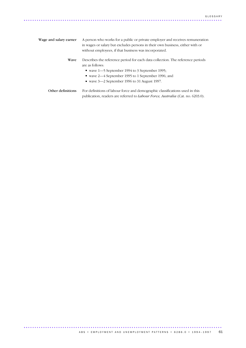| Wage and salary earner | A person who works for a public or private employer and receives remuneration<br>in wages or salary but excludes persons in their own business, either with or<br>without employees, if that business was incorporated. |  |
|------------------------|-------------------------------------------------------------------------------------------------------------------------------------------------------------------------------------------------------------------------|--|
| Wave                   | Describes the reference period for each data collection. The reference periods<br>are as follows:                                                                                                                       |  |
|                        | ■ wave 1–5 September 1994 to 3 September 1995;                                                                                                                                                                          |  |
|                        | vave 2-4 September 1995 to 1 September 1996; and                                                                                                                                                                        |  |
|                        | $\bullet$ wave 3—2 September 1996 to 31 August 1997.                                                                                                                                                                    |  |
|                        |                                                                                                                                                                                                                         |  |

Other definitions For definitions of labour force and demographic classifications used in this publication, readers are referred to *Labour Force, Australia* (Cat. no. 6203.0).